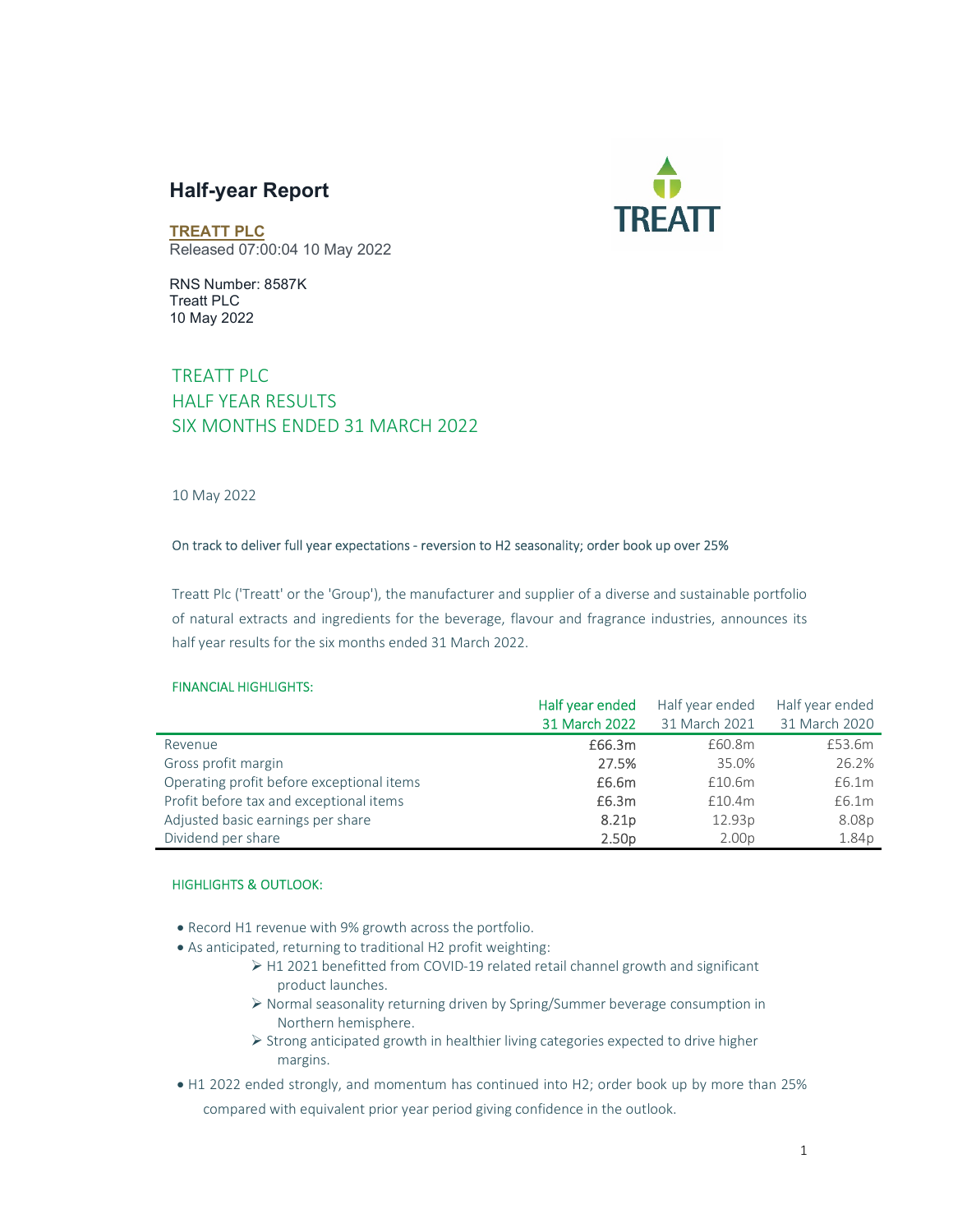# Half-year Report



TREATT PLC Released 07:00:04 10 May 2022

RNS Number: 8587K Treatt PLC 10 May 2022

# TREATT PLC HALF YEAR RESULTS SIX MONTHS ENDED 31 MARCH 2022

### 10 May 2022

### On track to deliver full year expectations - reversion to H2 seasonality; order book up over 25%

Treatt Plc ('Treatt' or the 'Group'), the manufacturer and supplier of a diverse and sustainable portfolio of natural extracts and ingredients for the beverage, flavour and fragrance industries, announces its half year results for the six months ended 31 March 2022.

### FINANCIAL HIGHLIGHTS:

|                                           | Half year ended   | Half year ended    | Half year ended |
|-------------------------------------------|-------------------|--------------------|-----------------|
|                                           | 31 March 2022     | 31 March 2021      | 31 March 2020   |
| Revenue                                   | £66.3m            | £60.8m             | £53.6m          |
| Gross profit margin                       | 27.5%             | 35.0%              | 26.2%           |
| Operating profit before exceptional items | £6.6m             | £10.6m             | £6.1m           |
| Profit before tax and exceptional items   | £6.3m             | £10.4m             | £6.1m           |
| Adjusted basic earnings per share         | 8.21 <sub>p</sub> | 12.93 <sub>p</sub> | 8.08p           |
| Dividend per share                        | 2.50 <sub>D</sub> | 2.00 <sub>D</sub>  | 1.84p           |

### HIGHLIGHTS & OUTLOOK:

- Record H1 revenue with 9% growth across the portfolio.
- As anticipated, returning to traditional H2 profit weighting:
	- H1 2021 benefitted from COVID-19 related retail channel growth and significant product launches.
	- Normal seasonality returning driven by Spring/Summer beverage consumption in Northern hemisphere.
	- $\triangleright$  Strong anticipated growth in healthier living categories expected to drive higher margins.
- H1 2022 ended strongly, and momentum has continued into H2; order book up by more than 25% compared with equivalent prior year period giving confidence in the outlook.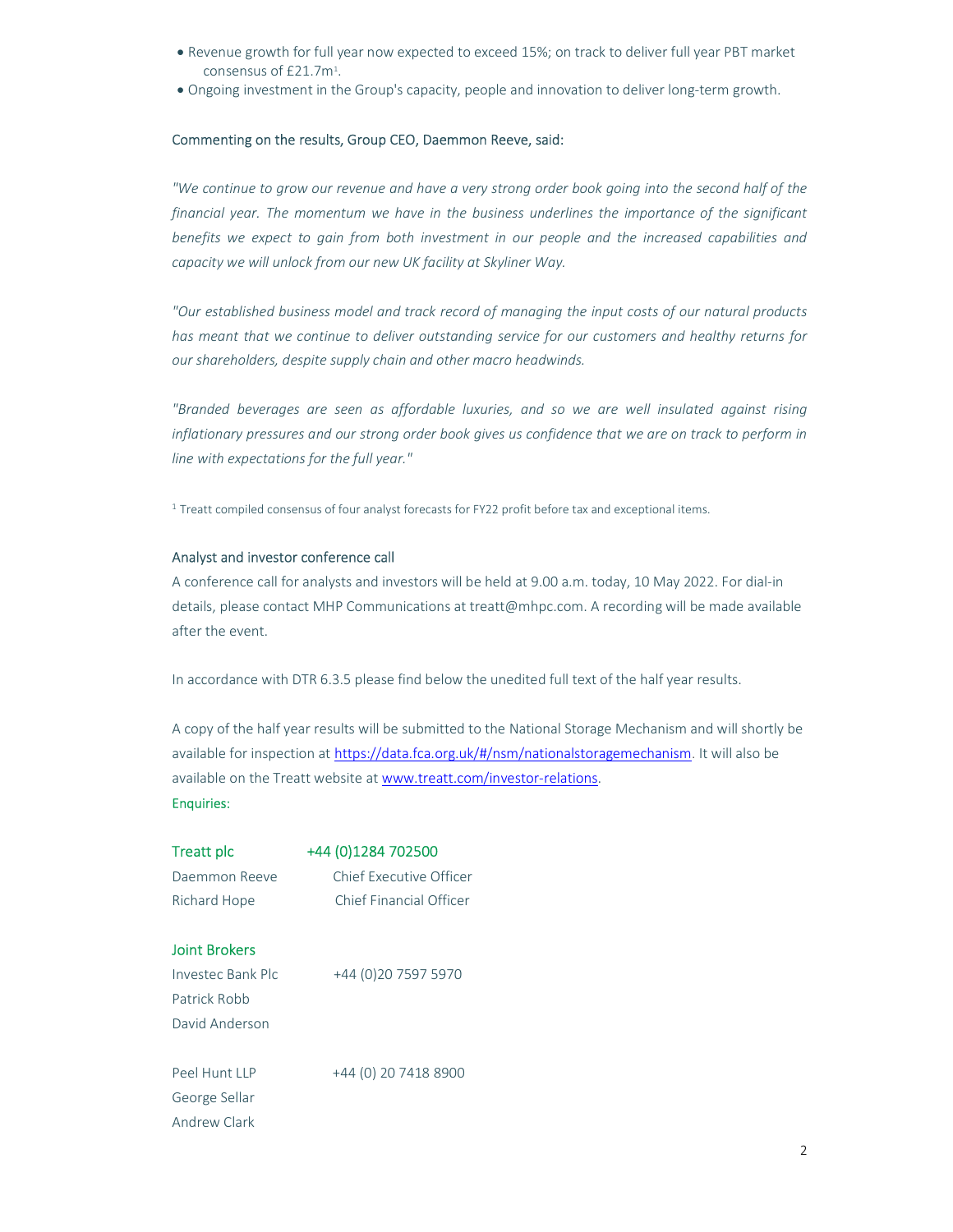- Revenue growth for full year now expected to exceed 15%; on track to deliver full year PBT market consensus of £21.7m<sup>1</sup>.
- Ongoing investment in the Group's capacity, people and innovation to deliver long-term growth.

### Commenting on the results, Group CEO, Daemmon Reeve, said:

"We continue to grow our revenue and have a very strong order book going into the second half of the financial year. The momentum we have in the business underlines the importance of the significant benefits we expect to gain from both investment in our people and the increased capabilities and capacity we will unlock from our new UK facility at Skyliner Way.

"Our established business model and track record of managing the input costs of our natural products has meant that we continue to deliver outstanding service for our customers and healthy returns for our shareholders, despite supply chain and other macro headwinds.

"Branded beverages are seen as affordable luxuries, and so we are well insulated against rising inflationary pressures and our strong order book gives us confidence that we are on track to perform in line with expectations for the full year."

<sup>1</sup> Treatt compiled consensus of four analyst forecasts for FY22 profit before tax and exceptional items.

### Analyst and investor conference call

A conference call for analysts and investors will be held at 9.00 a.m. today, 10 May 2022. For dial-in details, please contact MHP Communications at treatt@mhpc.com. A recording will be made available after the event.

In accordance with DTR 6.3.5 please find below the unedited full text of the half year results.

A copy of the half year results will be submitted to the National Storage Mechanism and will shortly be available for inspection at https://data.fca.org.uk/#/nsm/nationalstoragemechanism. It will also be available on the Treatt website at www.treatt.com/investor-relations.

### Enquiries:

| Treatt plc        | +44 (0)1284 702500      |
|-------------------|-------------------------|
| Daemmon Reeve     | Chief Executive Officer |
| Richard Hope      | Chief Financial Officer |
|                   |                         |
| Joint Brokers     |                         |
| Investec Bank Plc | +44 (0)20 7597 5970     |
| Patrick Robb      |                         |
| David Anderson    |                         |
|                   |                         |
| Peel Hunt IIP     | +44 (0) 20 7418 8900    |
| George Sellar     |                         |
| Andrew Clark      |                         |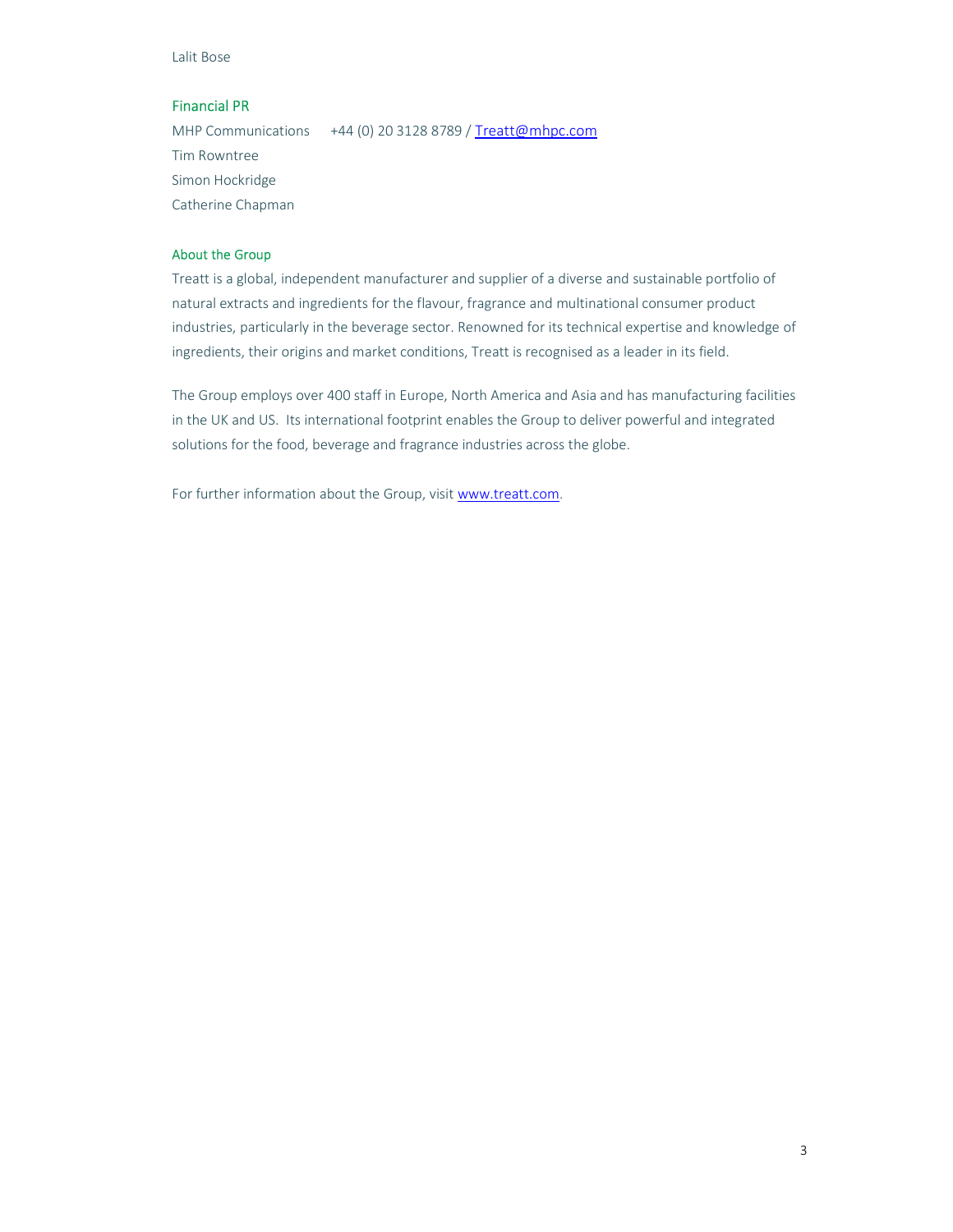Lalit Bose

### Financial PR

MHP Communications +44 (0) 20 3128 8789 / Treatt@mhpc.com Tim Rowntree Simon Hockridge Catherine Chapman

### About the Group

Treatt is a global, independent manufacturer and supplier of a diverse and sustainable portfolio of natural extracts and ingredients for the flavour, fragrance and multinational consumer product industries, particularly in the beverage sector. Renowned for its technical expertise and knowledge of ingredients, their origins and market conditions, Treatt is recognised as a leader in its field.

The Group employs over 400 staff in Europe, North America and Asia and has manufacturing facilities in the UK and US. Its international footprint enables the Group to deliver powerful and integrated solutions for the food, beverage and fragrance industries across the globe.

For further information about the Group, visit www.treatt.com.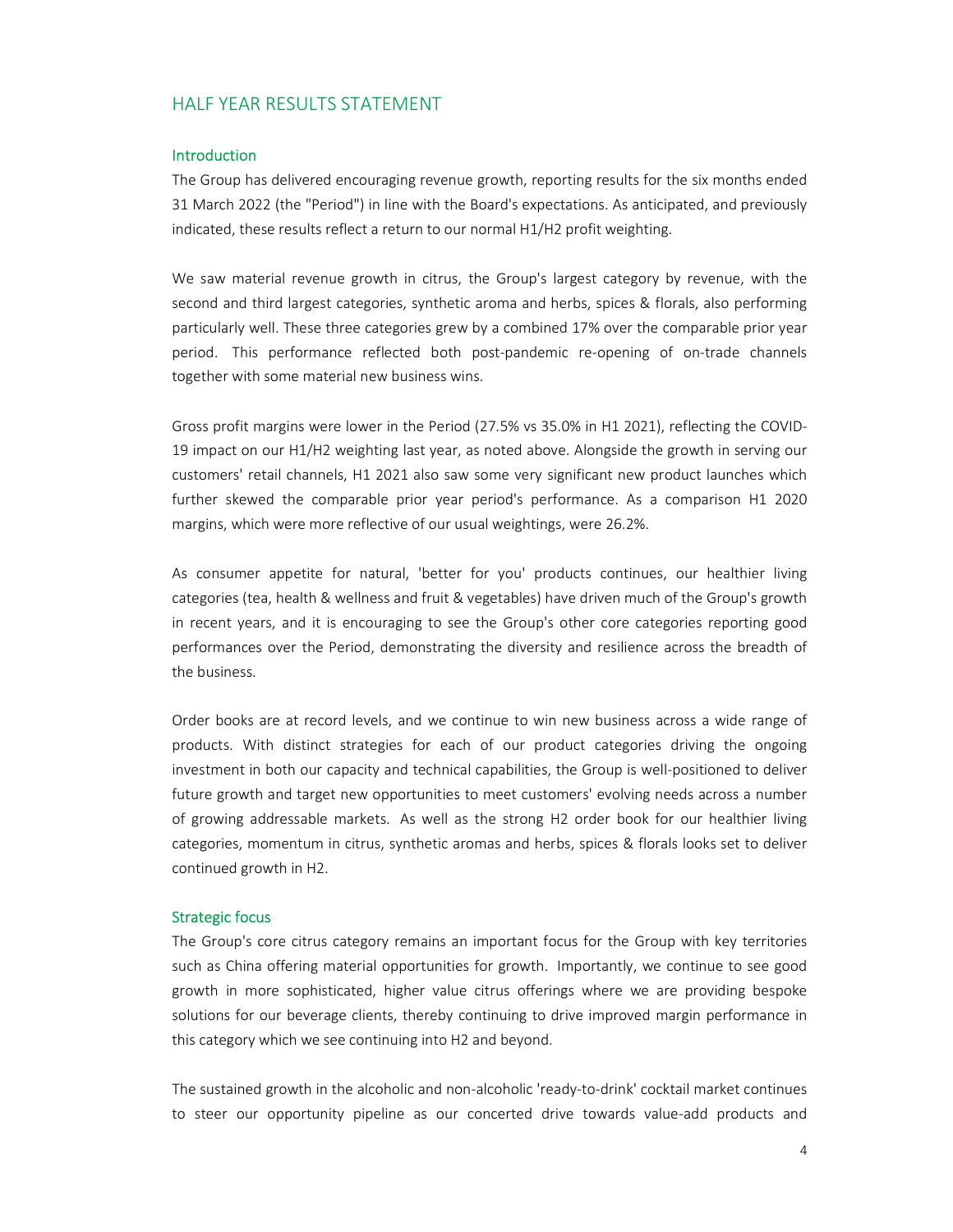# HALF YEAR RESULTS STATEMENT

### **Introduction**

The Group has delivered encouraging revenue growth, reporting results for the six months ended 31 March 2022 (the "Period") in line with the Board's expectations. As anticipated, and previously indicated, these results reflect a return to our normal H1/H2 profit weighting.

We saw material revenue growth in citrus, the Group's largest category by revenue, with the second and third largest categories, synthetic aroma and herbs, spices & florals, also performing particularly well. These three categories grew by a combined 17% over the comparable prior year period. This performance reflected both post-pandemic re-opening of on-trade channels together with some material new business wins.

Gross profit margins were lower in the Period (27.5% vs 35.0% in H1 2021), reflecting the COVID-19 impact on our H1/H2 weighting last year, as noted above. Alongside the growth in serving our customers' retail channels, H1 2021 also saw some very significant new product launches which further skewed the comparable prior year period's performance. As a comparison H1 2020 margins, which were more reflective of our usual weightings, were 26.2%.

As consumer appetite for natural, 'better for you' products continues, our healthier living categories (tea, health & wellness and fruit & vegetables) have driven much of the Group's growth in recent years, and it is encouraging to see the Group's other core categories reporting good performances over the Period, demonstrating the diversity and resilience across the breadth of the business.

Order books are at record levels, and we continue to win new business across a wide range of products. With distinct strategies for each of our product categories driving the ongoing investment in both our capacity and technical capabilities, the Group is well-positioned to deliver future growth and target new opportunities to meet customers' evolving needs across a number of growing addressable markets. As well as the strong H2 order book for our healthier living categories, momentum in citrus, synthetic aromas and herbs, spices & florals looks set to deliver continued growth in H2.

### Strategic focus

The Group's core citrus category remains an important focus for the Group with key territories such as China offering material opportunities for growth. Importantly, we continue to see good growth in more sophisticated, higher value citrus offerings where we are providing bespoke solutions for our beverage clients, thereby continuing to drive improved margin performance in this category which we see continuing into H2 and beyond.

The sustained growth in the alcoholic and non-alcoholic 'ready-to-drink' cocktail market continues to steer our opportunity pipeline as our concerted drive towards value-add products and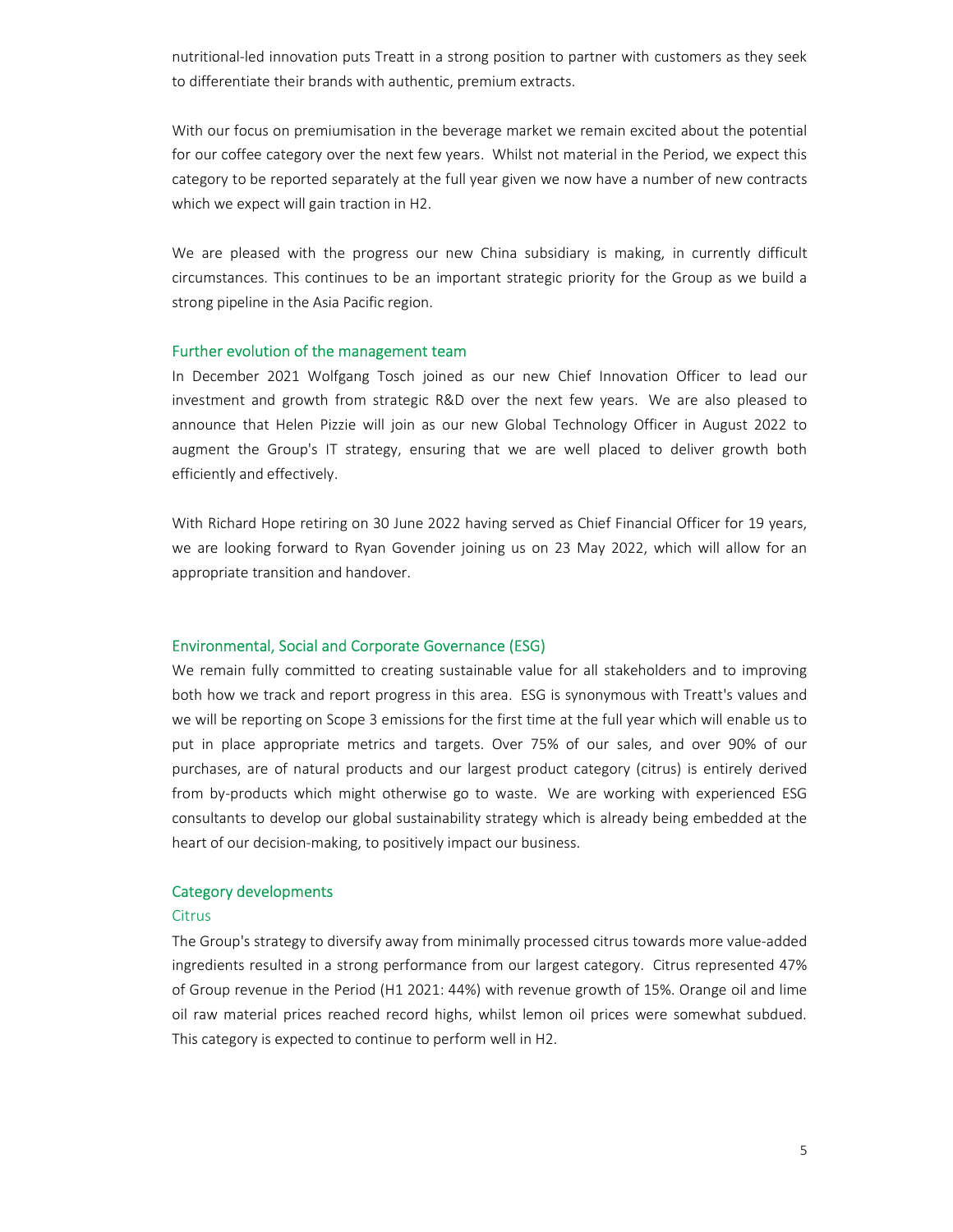nutritional-led innovation puts Treatt in a strong position to partner with customers as they seek to differentiate their brands with authentic, premium extracts.

With our focus on premiumisation in the beverage market we remain excited about the potential for our coffee category over the next few years. Whilst not material in the Period, we expect this category to be reported separately at the full year given we now have a number of new contracts which we expect will gain traction in H2.

We are pleased with the progress our new China subsidiary is making, in currently difficult circumstances. This continues to be an important strategic priority for the Group as we build a strong pipeline in the Asia Pacific region.

### Further evolution of the management team

In December 2021 Wolfgang Tosch joined as our new Chief Innovation Officer to lead our investment and growth from strategic R&D over the next few years. We are also pleased to announce that Helen Pizzie will join as our new Global Technology Officer in August 2022 to augment the Group's IT strategy, ensuring that we are well placed to deliver growth both efficiently and effectively.

With Richard Hope retiring on 30 June 2022 having served as Chief Financial Officer for 19 years, we are looking forward to Ryan Govender joining us on 23 May 2022, which will allow for an appropriate transition and handover.

### Environmental, Social and Corporate Governance (ESG)

We remain fully committed to creating sustainable value for all stakeholders and to improving both how we track and report progress in this area. ESG is synonymous with Treatt's values and we will be reporting on Scope 3 emissions for the first time at the full year which will enable us to put in place appropriate metrics and targets. Over 75% of our sales, and over 90% of our purchases, are of natural products and our largest product category (citrus) is entirely derived from by-products which might otherwise go to waste. We are working with experienced ESG consultants to develop our global sustainability strategy which is already being embedded at the heart of our decision-making, to positively impact our business.

### Category developments

### **Citrus**

The Group's strategy to diversify away from minimally processed citrus towards more value-added ingredients resulted in a strong performance from our largest category. Citrus represented 47% of Group revenue in the Period (H1 2021: 44%) with revenue growth of 15%. Orange oil and lime oil raw material prices reached record highs, whilst lemon oil prices were somewhat subdued. This category is expected to continue to perform well in H2.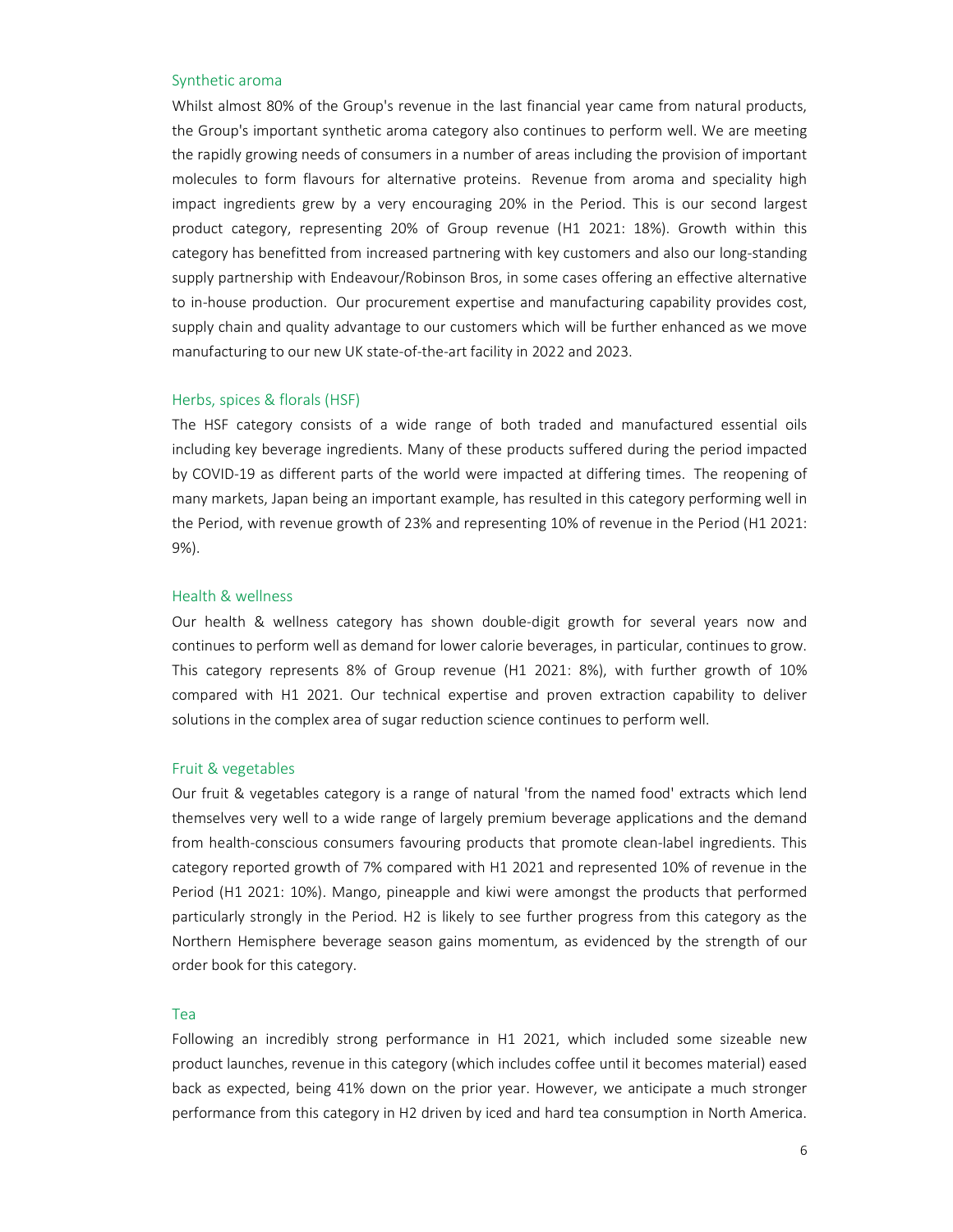### Synthetic aroma

Whilst almost 80% of the Group's revenue in the last financial year came from natural products, the Group's important synthetic aroma category also continues to perform well. We are meeting the rapidly growing needs of consumers in a number of areas including the provision of important molecules to form flavours for alternative proteins. Revenue from aroma and speciality high impact ingredients grew by a very encouraging 20% in the Period. This is our second largest product category, representing 20% of Group revenue (H1 2021: 18%). Growth within this category has benefitted from increased partnering with key customers and also our long-standing supply partnership with Endeavour/Robinson Bros, in some cases offering an effective alternative to in-house production. Our procurement expertise and manufacturing capability provides cost, supply chain and quality advantage to our customers which will be further enhanced as we move manufacturing to our new UK state-of-the-art facility in 2022 and 2023.

### Herbs, spices & florals (HSF)

The HSF category consists of a wide range of both traded and manufactured essential oils including key beverage ingredients. Many of these products suffered during the period impacted by COVID-19 as different parts of the world were impacted at differing times. The reopening of many markets, Japan being an important example, has resulted in this category performing well in the Period, with revenue growth of 23% and representing 10% of revenue in the Period (H1 2021: 9%).

### Health & wellness

Our health & wellness category has shown double-digit growth for several years now and continues to perform well as demand for lower calorie beverages, in particular, continues to grow. This category represents 8% of Group revenue (H1 2021: 8%), with further growth of 10% compared with H1 2021. Our technical expertise and proven extraction capability to deliver solutions in the complex area of sugar reduction science continues to perform well.

### Fruit & vegetables

Our fruit & vegetables category is a range of natural 'from the named food' extracts which lend themselves very well to a wide range of largely premium beverage applications and the demand from health-conscious consumers favouring products that promote clean-label ingredients. This category reported growth of 7% compared with H1 2021 and represented 10% of revenue in the Period (H1 2021: 10%). Mango, pineapple and kiwi were amongst the products that performed particularly strongly in the Period. H2 is likely to see further progress from this category as the Northern Hemisphere beverage season gains momentum, as evidenced by the strength of our order book for this category.

### Tea

Following an incredibly strong performance in H1 2021, which included some sizeable new product launches, revenue in this category (which includes coffee until it becomes material) eased back as expected, being 41% down on the prior year. However, we anticipate a much stronger performance from this category in H2 driven by iced and hard tea consumption in North America.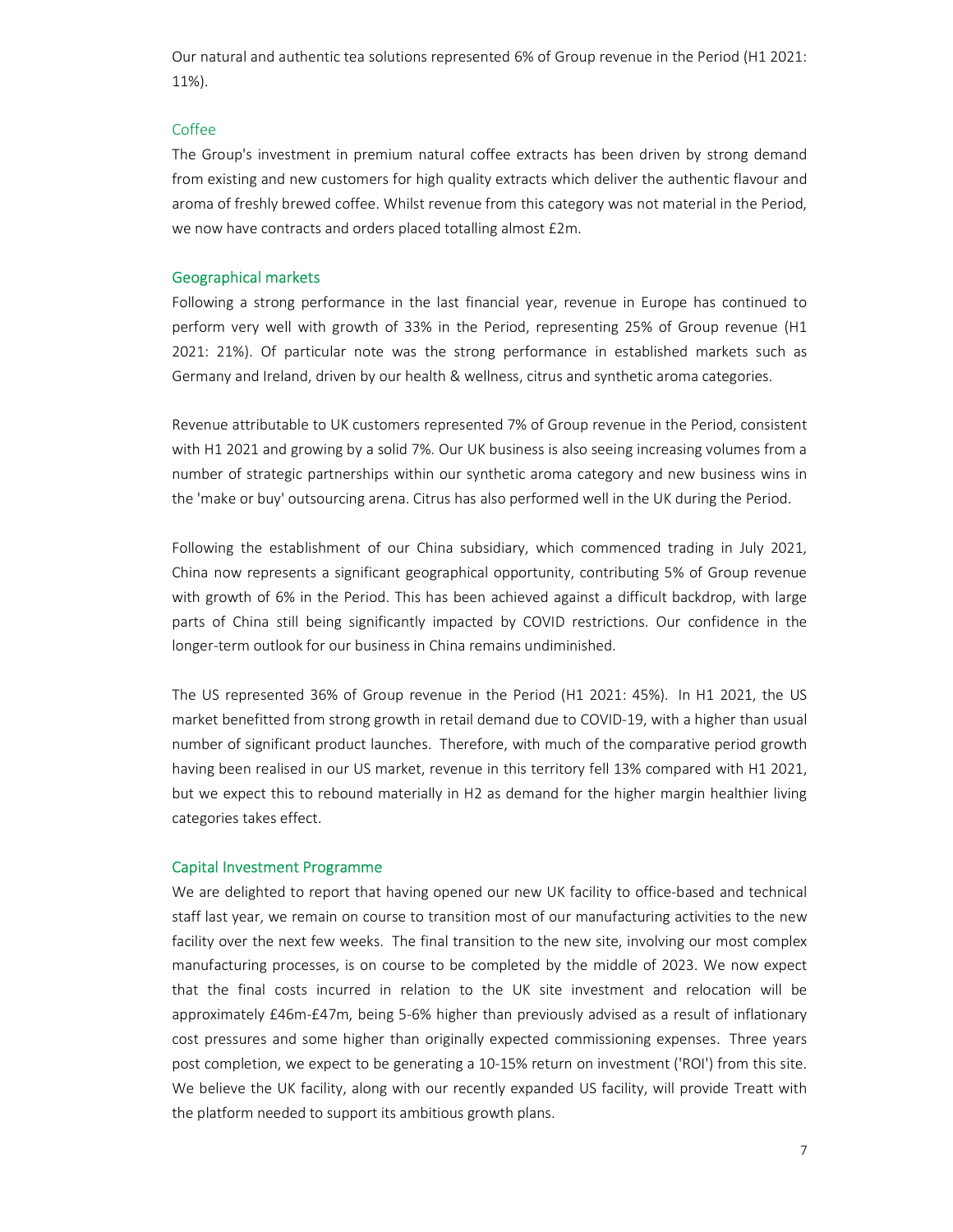Our natural and authentic tea solutions represented 6% of Group revenue in the Period (H1 2021: 11%).

### Coffee

The Group's investment in premium natural coffee extracts has been driven by strong demand from existing and new customers for high quality extracts which deliver the authentic flavour and aroma of freshly brewed coffee. Whilst revenue from this category was not material in the Period, we now have contracts and orders placed totalling almost £2m.

### Geographical markets

Following a strong performance in the last financial year, revenue in Europe has continued to perform very well with growth of 33% in the Period, representing 25% of Group revenue (H1 2021: 21%). Of particular note was the strong performance in established markets such as Germany and Ireland, driven by our health & wellness, citrus and synthetic aroma categories.

Revenue attributable to UK customers represented 7% of Group revenue in the Period, consistent with H1 2021 and growing by a solid 7%. Our UK business is also seeing increasing volumes from a number of strategic partnerships within our synthetic aroma category and new business wins in the 'make or buy' outsourcing arena. Citrus has also performed well in the UK during the Period.

Following the establishment of our China subsidiary, which commenced trading in July 2021, China now represents a significant geographical opportunity, contributing 5% of Group revenue with growth of 6% in the Period. This has been achieved against a difficult backdrop, with large parts of China still being significantly impacted by COVID restrictions. Our confidence in the longer-term outlook for our business in China remains undiminished.

The US represented 36% of Group revenue in the Period (H1 2021: 45%). In H1 2021, the US market benefitted from strong growth in retail demand due to COVID-19, with a higher than usual number of significant product launches. Therefore, with much of the comparative period growth having been realised in our US market, revenue in this territory fell 13% compared with H1 2021, but we expect this to rebound materially in H2 as demand for the higher margin healthier living categories takes effect.

### Capital Investment Programme

We are delighted to report that having opened our new UK facility to office-based and technical staff last year, we remain on course to transition most of our manufacturing activities to the new facility over the next few weeks. The final transition to the new site, involving our most complex manufacturing processes, is on course to be completed by the middle of 2023. We now expect that the final costs incurred in relation to the UK site investment and relocation will be approximately £46m-£47m, being 5-6% higher than previously advised as a result of inflationary cost pressures and some higher than originally expected commissioning expenses. Three years post completion, we expect to be generating a 10-15% return on investment ('ROI') from this site. We believe the UK facility, along with our recently expanded US facility, will provide Treatt with the platform needed to support its ambitious growth plans.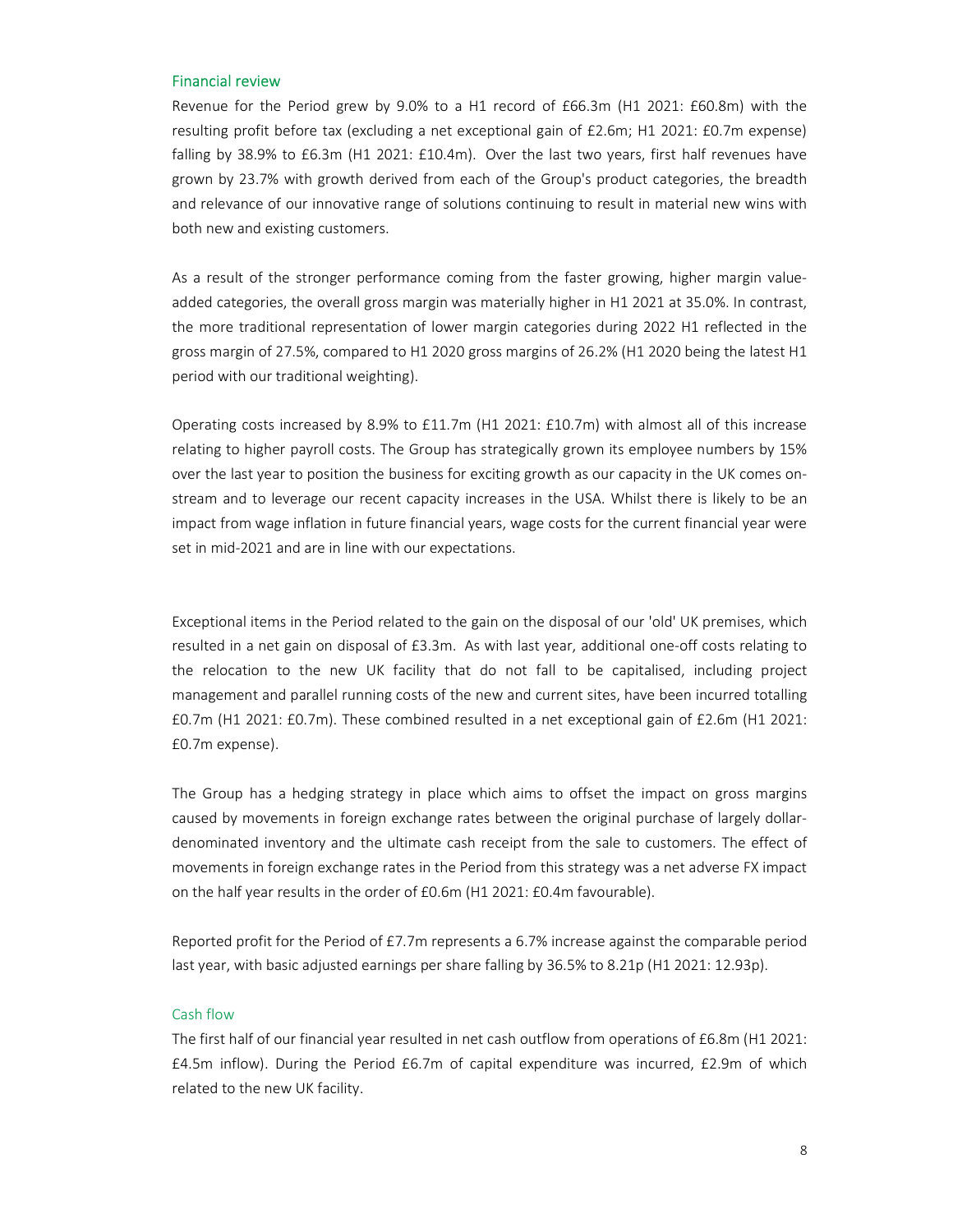### Financial review

Revenue for the Period grew by 9.0% to a H1 record of £66.3m (H1 2021: £60.8m) with the resulting profit before tax (excluding a net exceptional gain of £2.6m; H1 2021: £0.7m expense) falling by 38.9% to £6.3m (H1 2021: £10.4m). Over the last two years, first half revenues have grown by 23.7% with growth derived from each of the Group's product categories, the breadth and relevance of our innovative range of solutions continuing to result in material new wins with both new and existing customers.

As a result of the stronger performance coming from the faster growing, higher margin valueadded categories, the overall gross margin was materially higher in H1 2021 at 35.0%. In contrast, the more traditional representation of lower margin categories during 2022 H1 reflected in the gross margin of 27.5%, compared to H1 2020 gross margins of 26.2% (H1 2020 being the latest H1 period with our traditional weighting).

Operating costs increased by 8.9% to £11.7m (H1 2021: £10.7m) with almost all of this increase relating to higher payroll costs. The Group has strategically grown its employee numbers by 15% over the last year to position the business for exciting growth as our capacity in the UK comes onstream and to leverage our recent capacity increases in the USA. Whilst there is likely to be an impact from wage inflation in future financial years, wage costs for the current financial year were set in mid-2021 and are in line with our expectations.

Exceptional items in the Period related to the gain on the disposal of our 'old' UK premises, which resulted in a net gain on disposal of £3.3m. As with last year, additional one-off costs relating to the relocation to the new UK facility that do not fall to be capitalised, including project management and parallel running costs of the new and current sites, have been incurred totalling £0.7m (H1 2021: £0.7m). These combined resulted in a net exceptional gain of £2.6m (H1 2021: £0.7m expense).

The Group has a hedging strategy in place which aims to offset the impact on gross margins caused by movements in foreign exchange rates between the original purchase of largely dollardenominated inventory and the ultimate cash receipt from the sale to customers. The effect of movements in foreign exchange rates in the Period from this strategy was a net adverse FX impact on the half year results in the order of £0.6m (H1 2021: £0.4m favourable).

Reported profit for the Period of £7.7m represents a 6.7% increase against the comparable period last year, with basic adjusted earnings per share falling by 36.5% to 8.21p (H1 2021: 12.93p).

### Cash flow

The first half of our financial year resulted in net cash outflow from operations of £6.8m (H1 2021: £4.5m inflow). During the Period £6.7m of capital expenditure was incurred, £2.9m of which related to the new UK facility.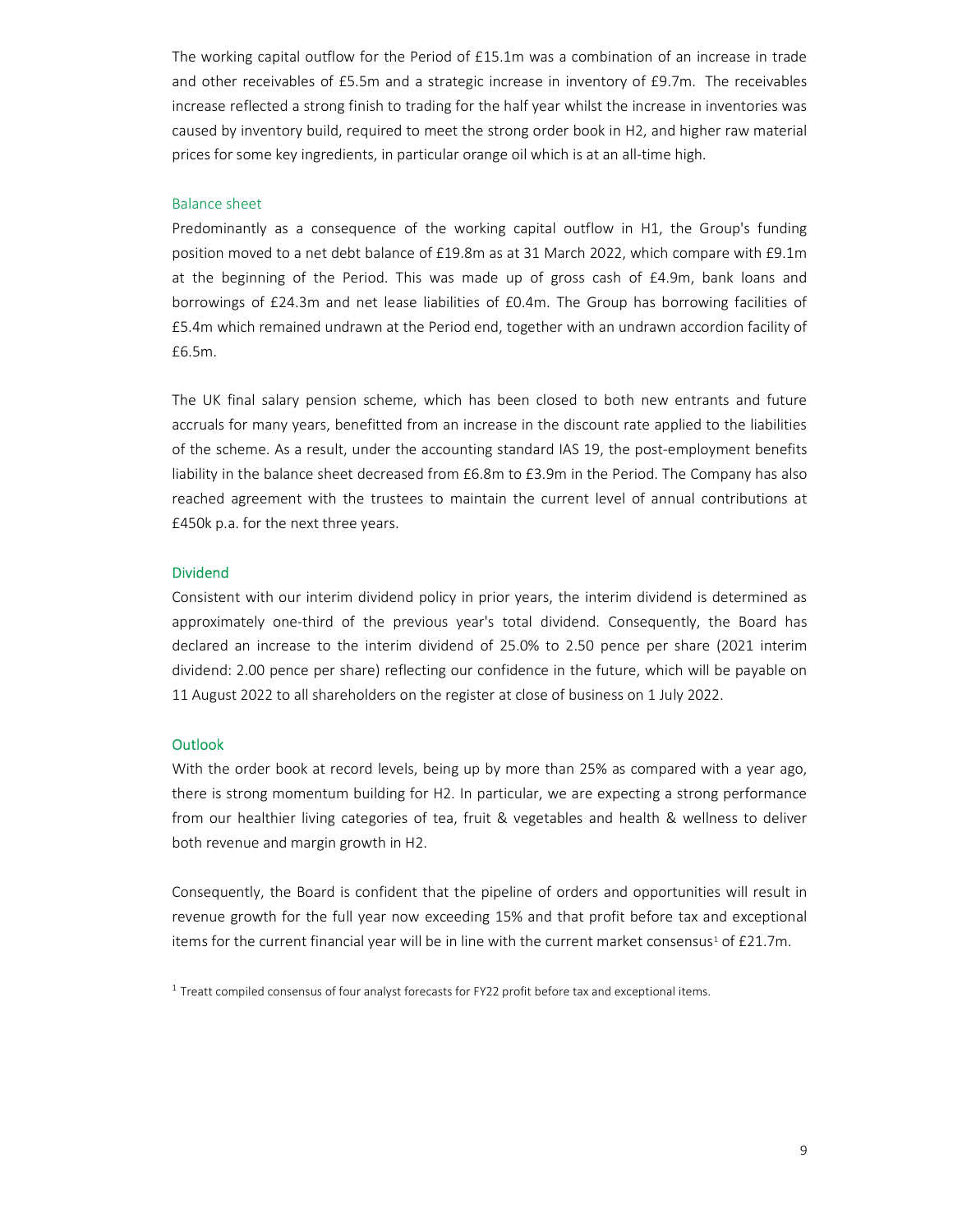The working capital outflow for the Period of £15.1m was a combination of an increase in trade and other receivables of £5.5m and a strategic increase in inventory of £9.7m. The receivables increase reflected a strong finish to trading for the half year whilst the increase in inventories was caused by inventory build, required to meet the strong order book in H2, and higher raw material prices for some key ingredients, in particular orange oil which is at an all-time high.

### Balance sheet

Predominantly as a consequence of the working capital outflow in H1, the Group's funding position moved to a net debt balance of £19.8m as at 31 March 2022, which compare with £9.1m at the beginning of the Period. This was made up of gross cash of £4.9m, bank loans and borrowings of £24.3m and net lease liabilities of £0.4m. The Group has borrowing facilities of £5.4m which remained undrawn at the Period end, together with an undrawn accordion facility of £6.5m.

The UK final salary pension scheme, which has been closed to both new entrants and future accruals for many years, benefitted from an increase in the discount rate applied to the liabilities of the scheme. As a result, under the accounting standard IAS 19, the post-employment benefits liability in the balance sheet decreased from £6.8m to £3.9m in the Period. The Company has also reached agreement with the trustees to maintain the current level of annual contributions at £450k p.a. for the next three years.

### Dividend

Consistent with our interim dividend policy in prior years, the interim dividend is determined as approximately one-third of the previous year's total dividend. Consequently, the Board has declared an increase to the interim dividend of 25.0% to 2.50 pence per share (2021 interim dividend: 2.00 pence per share) reflecting our confidence in the future, which will be payable on 11 August 2022 to all shareholders on the register at close of business on 1 July 2022.

### **Outlook**

With the order book at record levels, being up by more than 25% as compared with a year ago, there is strong momentum building for H2. In particular, we are expecting a strong performance from our healthier living categories of tea, fruit & vegetables and health & wellness to deliver both revenue and margin growth in H2.

Consequently, the Board is confident that the pipeline of orders and opportunities will result in revenue growth for the full year now exceeding 15% and that profit before tax and exceptional items for the current financial year will be in line with the current market consensus<sup>1</sup> of £21.7m.

 $1$  Treatt compiled consensus of four analyst forecasts for FY22 profit before tax and exceptional items.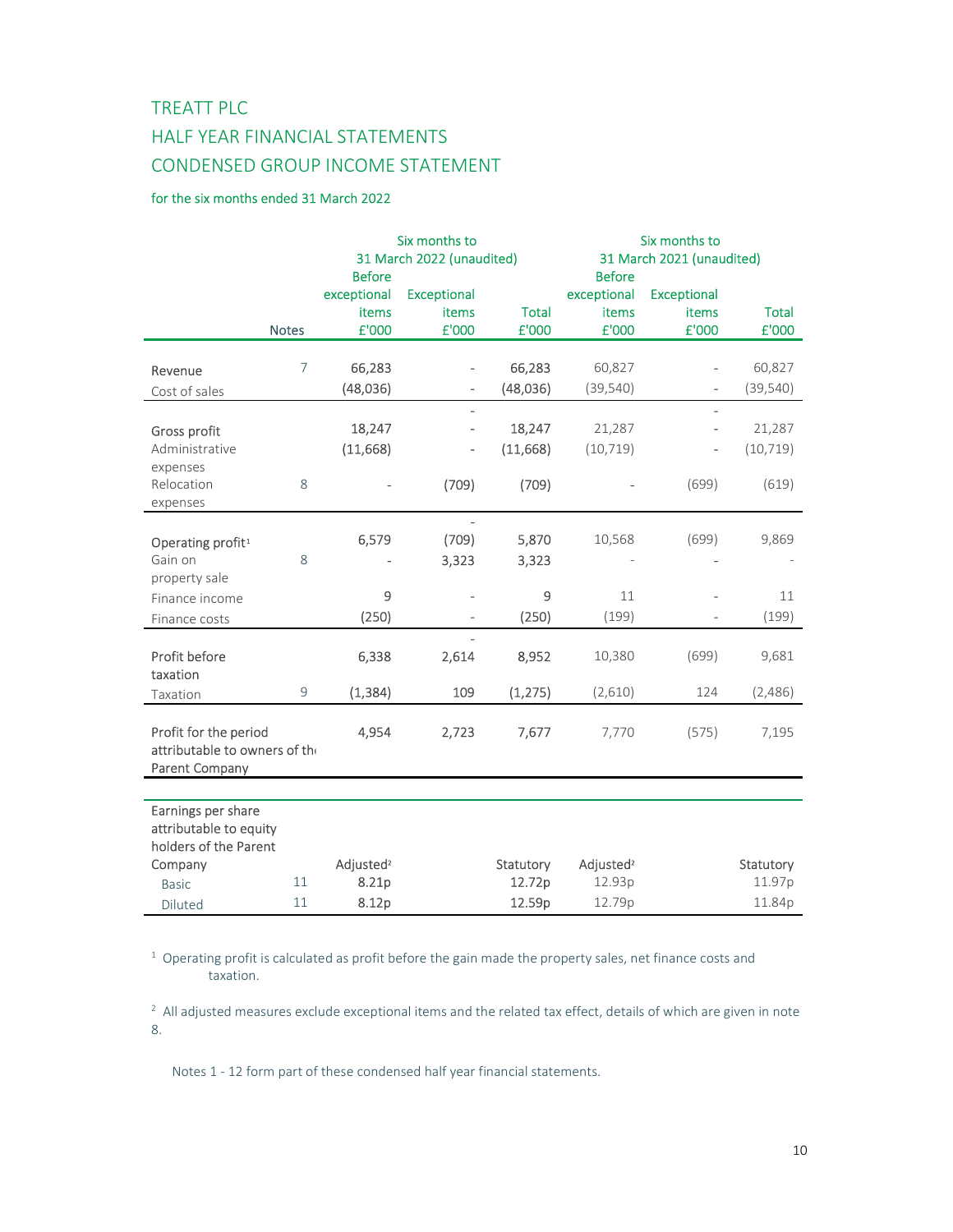# TREATT PLC HALF YEAR FINANCIAL STATEMENTS CONDENSED GROUP INCOME STATEMENT

# for the six months ended 31 March 2022

|                                                        |                | Six months to                              |                    |              | Six months to<br>31 March 2021 (unaudited) |                    |              |  |
|--------------------------------------------------------|----------------|--------------------------------------------|--------------------|--------------|--------------------------------------------|--------------------|--------------|--|
|                                                        |                | 31 March 2022 (unaudited)<br><b>Before</b> |                    |              |                                            | <b>Before</b>      |              |  |
|                                                        |                | exceptional                                | <b>Exceptional</b> |              | exceptional                                | <b>Exceptional</b> |              |  |
|                                                        |                | items                                      | items              | <b>Total</b> | items                                      | items              | <b>Total</b> |  |
|                                                        | <b>Notes</b>   | £'000                                      | £'000              | £'000        | £'000                                      | £'000              | £'000        |  |
| Revenue                                                | $\overline{7}$ | 66,283                                     |                    | 66,283       | 60,827                                     |                    | 60,827       |  |
| Cost of sales                                          |                | (48,036)                                   | $\overline{a}$     | (48,036)     | (39, 540)                                  |                    | (39, 540)    |  |
|                                                        |                |                                            |                    |              |                                            |                    |              |  |
| Gross profit                                           |                | 18,247                                     | $\overline{a}$     | 18,247       | 21,287                                     |                    | 21,287       |  |
| Administrative                                         |                | (11,668)                                   |                    | (11,668)     | (10, 719)                                  |                    | (10, 719)    |  |
| expenses<br>Relocation                                 |                |                                            |                    |              |                                            |                    |              |  |
| expenses                                               | 8              |                                            | (709)              | (709)        |                                            | (699)              | (619)        |  |
|                                                        |                |                                            |                    |              |                                            |                    |              |  |
| Operating profit <sup>1</sup>                          |                | 6,579                                      | (709)              | 5,870        | 10,568                                     | (699)              | 9,869        |  |
| Gain on                                                | 8              |                                            | 3,323              | 3,323        |                                            |                    |              |  |
| property sale                                          |                |                                            |                    |              |                                            |                    |              |  |
| Finance income                                         |                | 9                                          |                    | 9            | 11                                         |                    | 11           |  |
| Finance costs                                          |                | (250)                                      | $\overline{a}$     | (250)        | (199)                                      |                    | (199)        |  |
|                                                        |                |                                            | $\overline{a}$     |              |                                            |                    |              |  |
| Profit before<br>taxation                              |                | 6,338                                      | 2,614              | 8,952        | 10,380                                     | (699)              | 9,681        |  |
| Taxation                                               | 9              | (1, 384)                                   | 109                | (1, 275)     | (2,610)                                    | 124                | (2,486)      |  |
| Profit for the period<br>attributable to owners of the |                | 4,954                                      | 2,723              | 7,677        | 7,770                                      | (575)              | 7,195        |  |
| Parent Company                                         |                |                                            |                    |              |                                            |                    |              |  |
|                                                        |                |                                            |                    |              |                                            |                    |              |  |
| Earnings per share<br>attributable to equity           |                |                                            |                    |              |                                            |                    |              |  |
| holders of the Parent                                  |                |                                            |                    |              |                                            |                    |              |  |
| Company                                                |                | Adjusted <sup>2</sup>                      |                    | Statutory    | Adjusted <sup>2</sup>                      |                    | Statutory    |  |
| <b>Basic</b>                                           | 11             | 8.21p                                      |                    | 12.72p       | 12.93p                                     |                    | 11.97p       |  |
| Diluted                                                | 11             | 8.12p                                      |                    | 12.59p       | 12.79p                                     |                    | 11.84p       |  |

 $1$  Operating profit is calculated as profit before the gain made the property sales, net finance costs and taxation.

 $^2$  All adjusted measures exclude exceptional items and the related tax effect, details of which are given in note 8.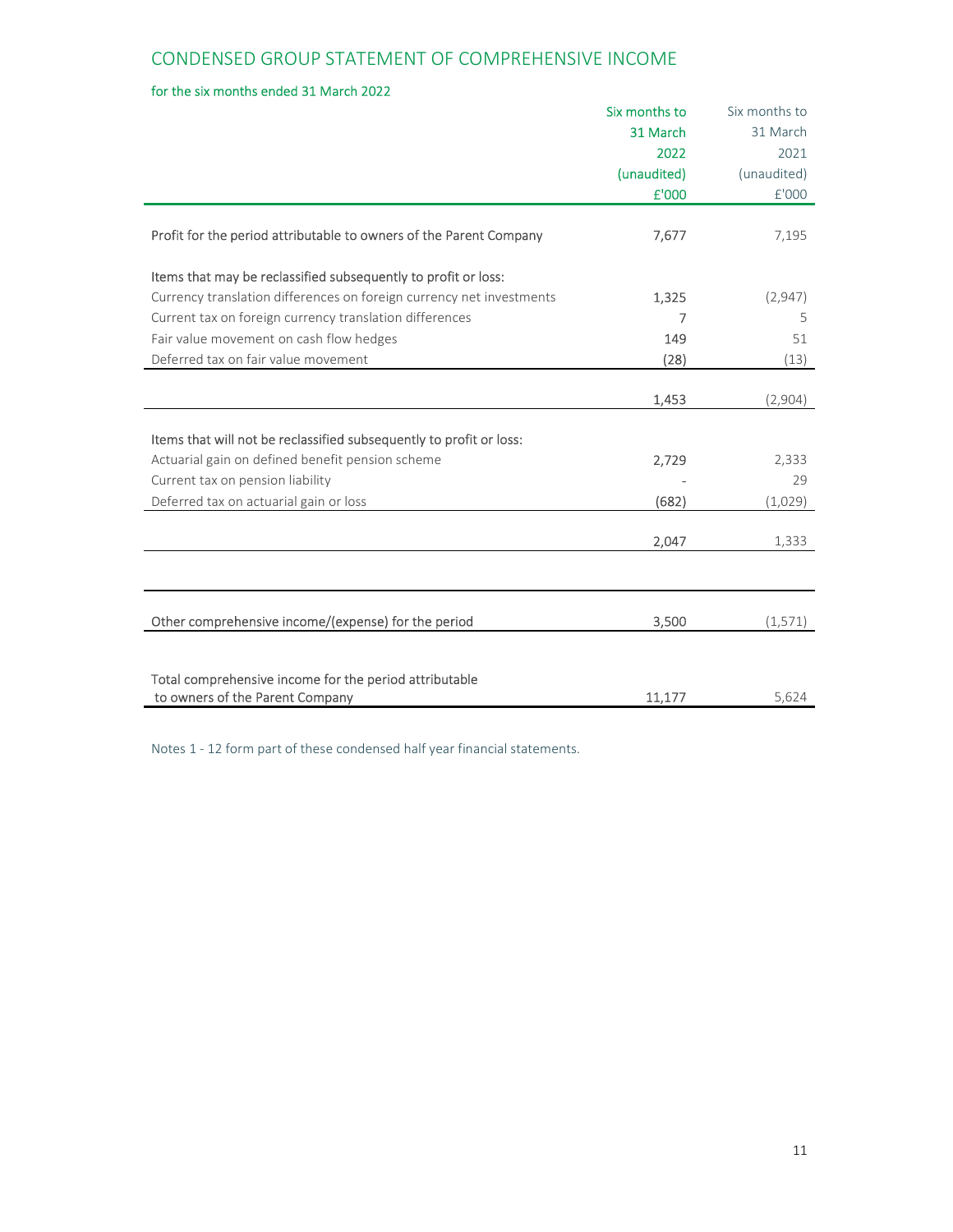# for the six months ended 31 March 2022

|                                                                      | Six months to | Six months to |
|----------------------------------------------------------------------|---------------|---------------|
|                                                                      | 31 March      | 31 March      |
|                                                                      | 2022          | 2021          |
|                                                                      | (unaudited)   | (unaudited)   |
|                                                                      | £'000         | £'000         |
| Profit for the period attributable to owners of the Parent Company   | 7,677         | 7,195         |
| Items that may be reclassified subsequently to profit or loss:       |               |               |
| Currency translation differences on foreign currency net investments | 1,325         | (2,947)       |
| Current tax on foreign currency translation differences              | 7             | 5             |
| Fair value movement on cash flow hedges                              | 149           | 51            |
| Deferred tax on fair value movement                                  | (28)          | (13)          |
|                                                                      |               |               |
|                                                                      | 1,453         | (2,904)       |
|                                                                      |               |               |
| Items that will not be reclassified subsequently to profit or loss:  |               |               |
| Actuarial gain on defined benefit pension scheme                     | 2,729         | 2,333         |
| Current tax on pension liability                                     |               | 29            |
| Deferred tax on actuarial gain or loss                               | (682)         | (1,029)       |
|                                                                      | 2,047         | 1,333         |
|                                                                      |               |               |
|                                                                      |               |               |
| Other comprehensive income/(expense) for the period                  | 3,500         | (1, 571)      |
|                                                                      |               |               |
| Total comprehensive income for the period attributable               |               |               |
| to owners of the Parent Company                                      | 11,177        | 5,624         |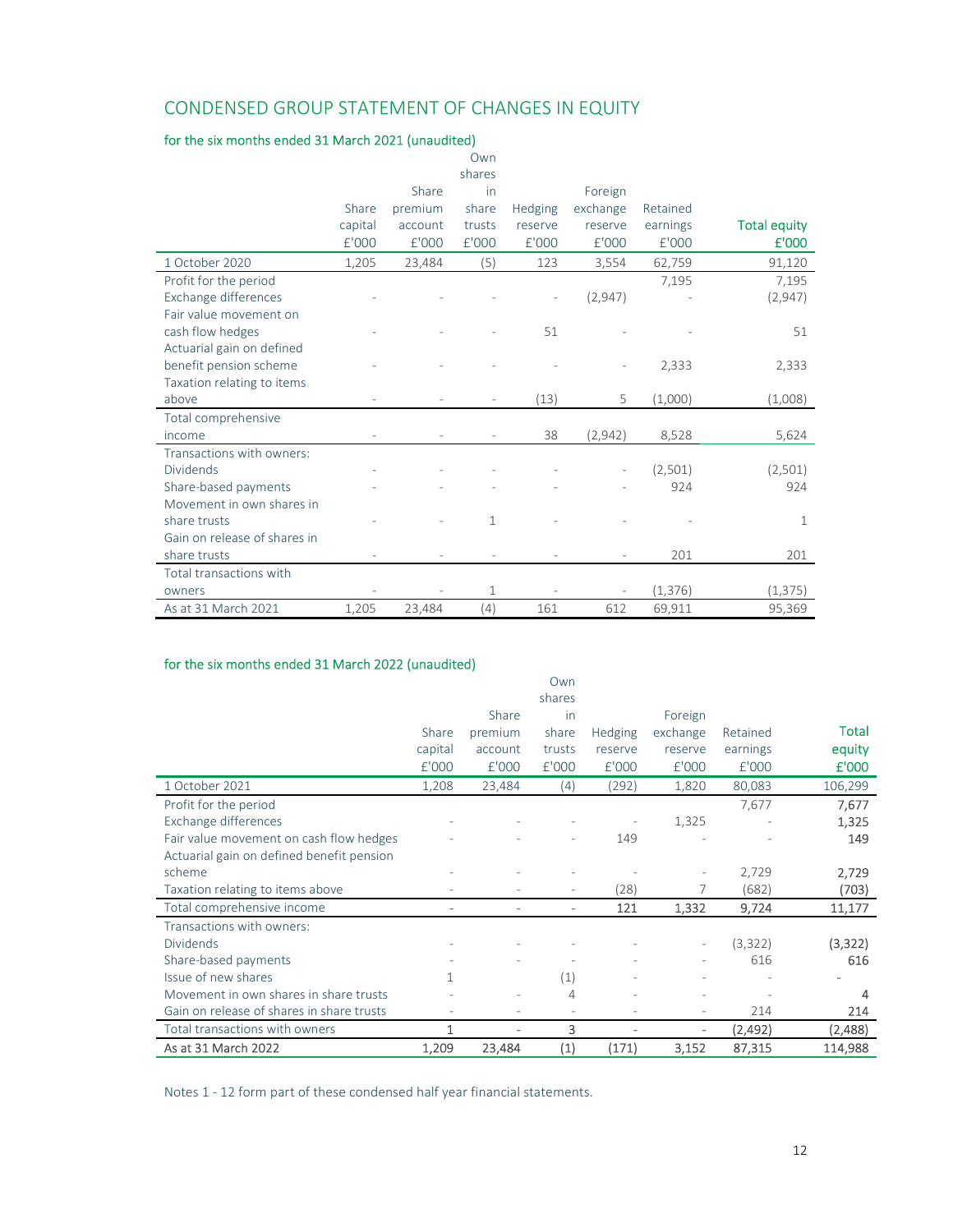# CONDENSED GROUP STATEMENT OF CHANGES IN EQUITY

# for the six months ended 31 March 2021 (unaudited)

|                              |         |         | Own          |         |          |          |                     |
|------------------------------|---------|---------|--------------|---------|----------|----------|---------------------|
|                              |         |         | shares       |         |          |          |                     |
|                              |         | Share   | in           |         | Foreign  |          |                     |
|                              | Share   | premium | share        | Hedging | exchange | Retained |                     |
|                              | capital | account | trusts       | reserve | reserve  | earnings | <b>Total equity</b> |
|                              | £'000   | f'000   | £'000        | £'000   | £'000    | f'000    | £'000               |
| 1 October 2020               | 1,205   | 23,484  | (5)          | 123     | 3,554    | 62,759   | 91,120              |
| Profit for the period        |         |         |              |         |          | 7,195    | 7,195               |
| Exchange differences         |         |         |              |         | (2,947)  |          | (2,947)             |
| Fair value movement on       |         |         |              |         |          |          |                     |
| cash flow hedges             |         |         |              | 51      |          |          | 51                  |
| Actuarial gain on defined    |         |         |              |         |          |          |                     |
| benefit pension scheme       |         |         |              |         |          | 2,333    | 2,333               |
| Taxation relating to items   |         |         |              |         |          |          |                     |
| above                        |         |         |              | (13)    | 5        | (1,000)  | (1,008)             |
| Total comprehensive          |         |         |              |         |          |          |                     |
| income                       |         |         |              | 38      | (2,942)  | 8,528    | 5,624               |
| Transactions with owners:    |         |         |              |         |          |          |                     |
| Dividends                    |         |         |              |         |          | (2,501)  | (2,501)             |
| Share-based payments         |         |         |              |         |          | 924      | 924                 |
| Movement in own shares in    |         |         |              |         |          |          |                     |
| share trusts                 |         |         | $\mathbf{1}$ |         |          |          | $\mathbf 1$         |
| Gain on release of shares in |         |         |              |         |          |          |                     |
| share trusts                 |         |         |              |         |          | 201      | 201                 |
| Total transactions with      |         |         |              |         |          |          |                     |
| owners                       |         |         | $\mathbf{1}$ |         |          | (1, 376) | (1, 375)            |
| As at 31 March 2021          | 1,205   | 23,484  | (4)          | 161     | 612      | 69,911   | 95,369              |

# for the six months ended 31 March 2022 (unaudited)

|                                           |         |         | Own                      |                              |          |          |         |
|-------------------------------------------|---------|---------|--------------------------|------------------------------|----------|----------|---------|
|                                           |         |         | shares                   |                              |          |          |         |
|                                           |         | Share   | in                       |                              | Foreign  |          |         |
|                                           | Share   | premium | share                    | Hedging                      | exchange | Retained | Total   |
|                                           | capital | account | trusts                   | reserve                      | reserve  | earnings | equity  |
|                                           | E'000   | E'000   | £'000                    | E'000                        | £'000    | E'000    | £'000   |
| 1 October 2021                            | 1,208   | 23,484  | (4)                      | (292)                        | 1,820    | 80,083   | 106,299 |
| Profit for the period                     |         |         |                          |                              |          | 7,677    | 7,677   |
| Exchange differences                      |         |         |                          |                              | 1,325    |          | 1,325   |
| Fair value movement on cash flow hedges   |         |         |                          | 149                          |          |          | 149     |
| Actuarial gain on defined benefit pension |         |         |                          |                              |          |          |         |
| scheme                                    |         |         |                          |                              |          | 2,729    | 2,729   |
| Taxation relating to items above          |         |         |                          | (28)                         |          | (682)    | (703)   |
| Total comprehensive income                |         |         | $\overline{\phantom{0}}$ | 121                          | 1,332    | 9,724    | 11,177  |
| Transactions with owners:                 |         |         |                          |                              |          |          |         |
| <b>Dividends</b>                          |         |         |                          |                              |          | (3,322)  | (3,322) |
| Share-based payments                      |         |         |                          |                              |          | 616      | 616     |
| Issue of new shares                       | 1       |         | (1)                      |                              |          |          |         |
| Movement in own shares in share trusts    |         |         | 4                        |                              |          |          | 4       |
| Gain on release of shares in share trusts |         |         |                          |                              |          | 214      | 214     |
| Total transactions with owners            | 1       |         | 3                        | $\qquad \qquad \blacksquare$ |          | (2, 492) | (2,488) |
| As at 31 March 2022                       | 1,209   | 23,484  | (1)                      | (171)                        | 3,152    | 87,315   | 114,988 |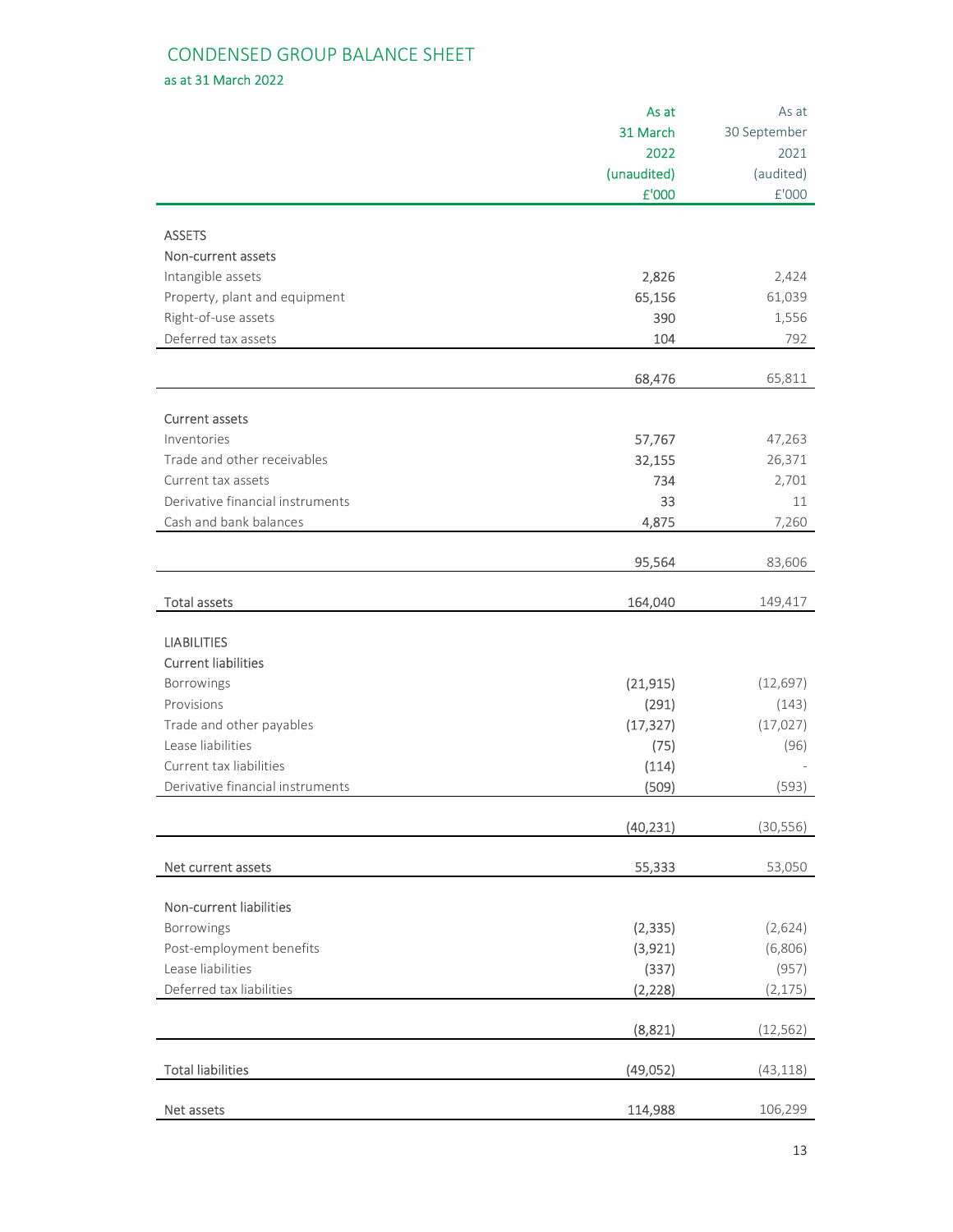# CONDENSED GROUP BALANCE SHEET

as at 31 March 2022

|                                  | As at               | As at                |
|----------------------------------|---------------------|----------------------|
|                                  | 31 March            | 30 September         |
|                                  | 2022                | 2021                 |
|                                  | (unaudited)         | (audited)            |
|                                  | £'000               | $\rm{f}^{\prime}000$ |
|                                  |                     |                      |
| <b>ASSETS</b>                    |                     |                      |
| Non-current assets               |                     |                      |
| Intangible assets                | 2,826               | 2,424                |
| Property, plant and equipment    | 65,156              | 61,039               |
| Right-of-use assets              | 390                 | 1,556                |
| Deferred tax assets              | 104                 | 792                  |
|                                  |                     |                      |
|                                  | 68,476              | 65,811               |
| <b>Current assets</b>            |                     |                      |
| Inventories                      | 57,767              | 47,263               |
| Trade and other receivables      | 32,155              | 26,371               |
| Current tax assets               | 734                 | 2,701                |
| Derivative financial instruments | 33                  | 11                   |
| Cash and bank balances           | 4,875               | 7,260                |
|                                  |                     |                      |
|                                  | 95,564              | 83,606               |
| <b>Total assets</b>              | 164,040             | 149,417              |
|                                  |                     |                      |
| <b>LIABILITIES</b>               |                     |                      |
| <b>Current liabilities</b>       |                     |                      |
| Borrowings                       | (21, 915)           | (12, 697)            |
| Provisions                       | (291)               | (143)                |
| Trade and other payables         | (17, 327)           | (17, 027)            |
| Lease liabilities                | (75)                | (96)                 |
| Current tax liabilities          | (114)               |                      |
| Derivative financial instruments | (509)               | (593)                |
|                                  | (40, 231)           | (30, 556)            |
|                                  |                     |                      |
| Net current assets               | 55,333              | 53,050               |
| Non-current liabilities          |                     |                      |
| Borrowings                       |                     | (2,624)              |
| Post-employment benefits         | (2, 335)<br>(3,921) | (6,806)              |
| Lease liabilities                |                     |                      |
| Deferred tax liabilities         | (337)               | (957)<br>(2, 175)    |
|                                  | (2, 228)            |                      |
|                                  | (8,821)             | (12, 562)            |
| <b>Total liabilities</b>         | (49,052)            | (43, 118)            |
| Net assets                       | 114,988             | 106,299              |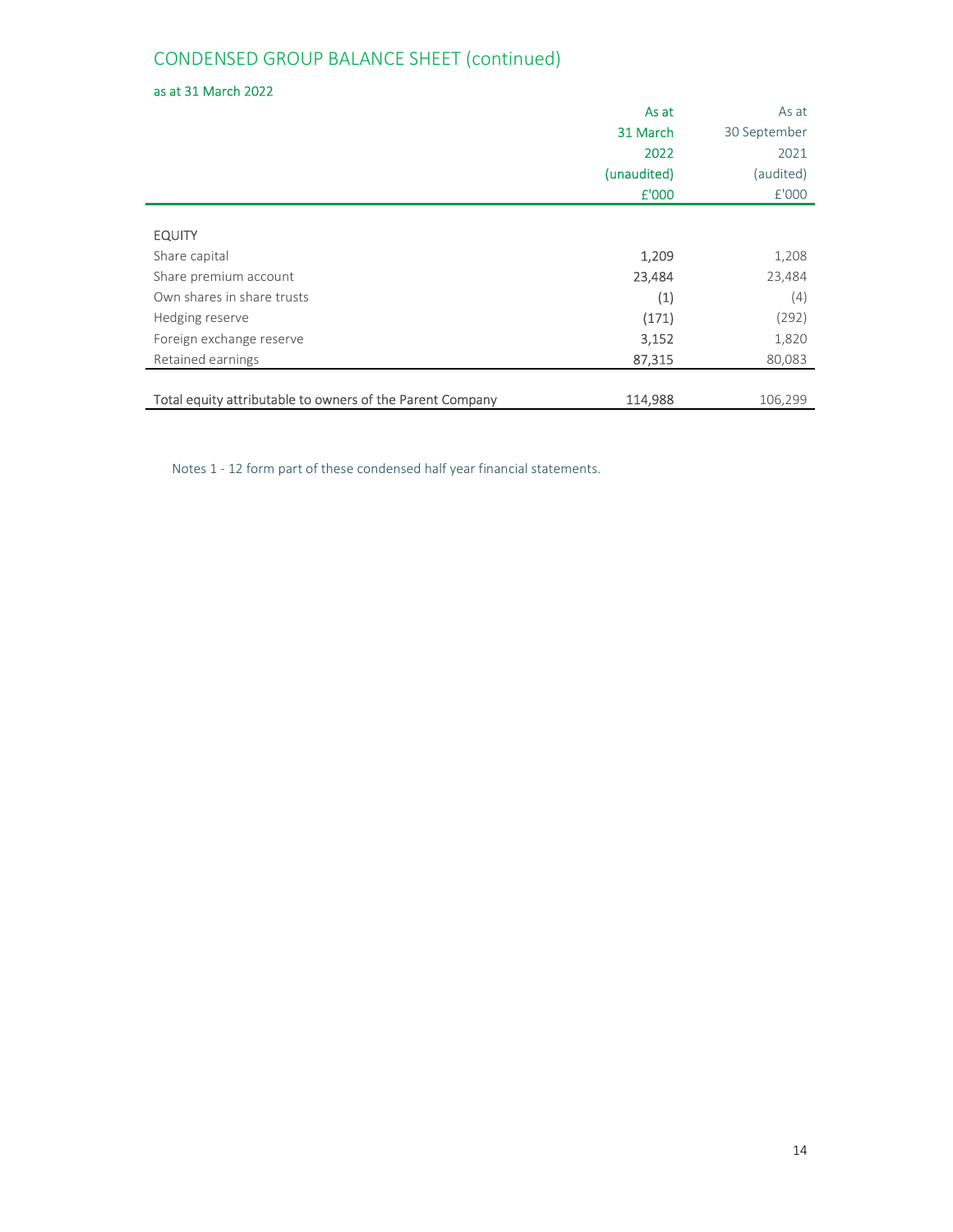# CONDENSED GROUP BALANCE SHEET (continued)

# as at 31 March 2022

|                                                           | As at       | As at        |
|-----------------------------------------------------------|-------------|--------------|
|                                                           | 31 March    | 30 September |
|                                                           | 2022        | 2021         |
|                                                           | (unaudited) | (audited)    |
|                                                           | £'000       | £'000        |
|                                                           |             |              |
| <b>EQUITY</b>                                             |             |              |
| Share capital                                             | 1,209       | 1,208        |
| Share premium account                                     | 23,484      | 23,484       |
| Own shares in share trusts                                | (1)         | (4)          |
| Hedging reserve                                           | (171)       | (292)        |
| Foreign exchange reserve                                  | 3,152       | 1,820        |
| Retained earnings                                         | 87,315      | 80,083       |
|                                                           |             |              |
| Total equity attributable to owners of the Parent Company | 114,988     | 106,299      |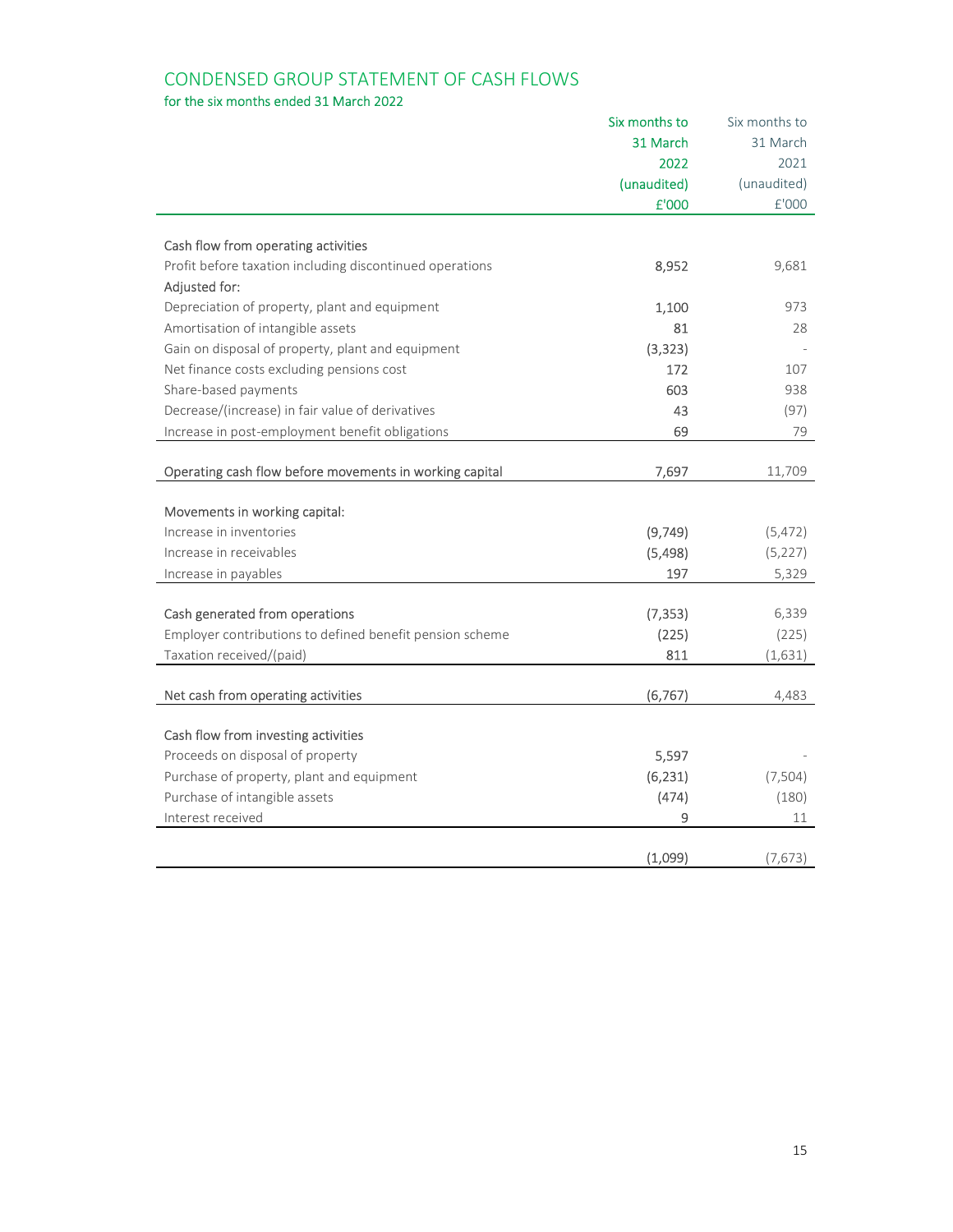# CONDENSED GROUP STATEMENT OF CASH FLOWS

# for the six months ended 31 March 2022

|                                                          | Six months to | Six months to |
|----------------------------------------------------------|---------------|---------------|
|                                                          | 31 March      | 31 March      |
|                                                          | 2022          | 2021          |
|                                                          | (unaudited)   | (unaudited)   |
|                                                          | £'000         | £'000         |
|                                                          |               |               |
| Cash flow from operating activities                      |               |               |
| Profit before taxation including discontinued operations | 8,952         | 9,681         |
| Adjusted for:                                            |               |               |
| Depreciation of property, plant and equipment            | 1,100         | 973           |
| Amortisation of intangible assets                        | 81            | 28            |
| Gain on disposal of property, plant and equipment        | (3, 323)      |               |
| Net finance costs excluding pensions cost                | 172           | 107           |
| Share-based payments                                     | 603           | 938           |
| Decrease/(increase) in fair value of derivatives         | 43            | (97)          |
| Increase in post-employment benefit obligations          | 69            | 79            |
|                                                          |               |               |
| Operating cash flow before movements in working capital  | 7,697         | 11,709        |
|                                                          |               |               |
| Movements in working capital:                            |               |               |
| Increase in inventories                                  | (9,749)       | (5, 472)      |
| Increase in receivables                                  | (5, 498)      | (5, 227)      |
| Increase in payables                                     | 197           | 5,329         |
|                                                          |               |               |
| Cash generated from operations                           | (7, 353)      | 6,339         |
| Employer contributions to defined benefit pension scheme | (225)         | (225)         |
| Taxation received/(paid)                                 | 811           | (1,631)       |
| Net cash from operating activities                       | (6, 767)      | 4,483         |
|                                                          |               |               |
| Cash flow from investing activities                      |               |               |
| Proceeds on disposal of property                         | 5,597         |               |
| Purchase of property, plant and equipment                | (6, 231)      | (7, 504)      |
| Purchase of intangible assets                            | (474)         | (180)         |
| Interest received                                        | 9             | 11            |
|                                                          |               |               |
|                                                          | (1,099)       | (7, 673)      |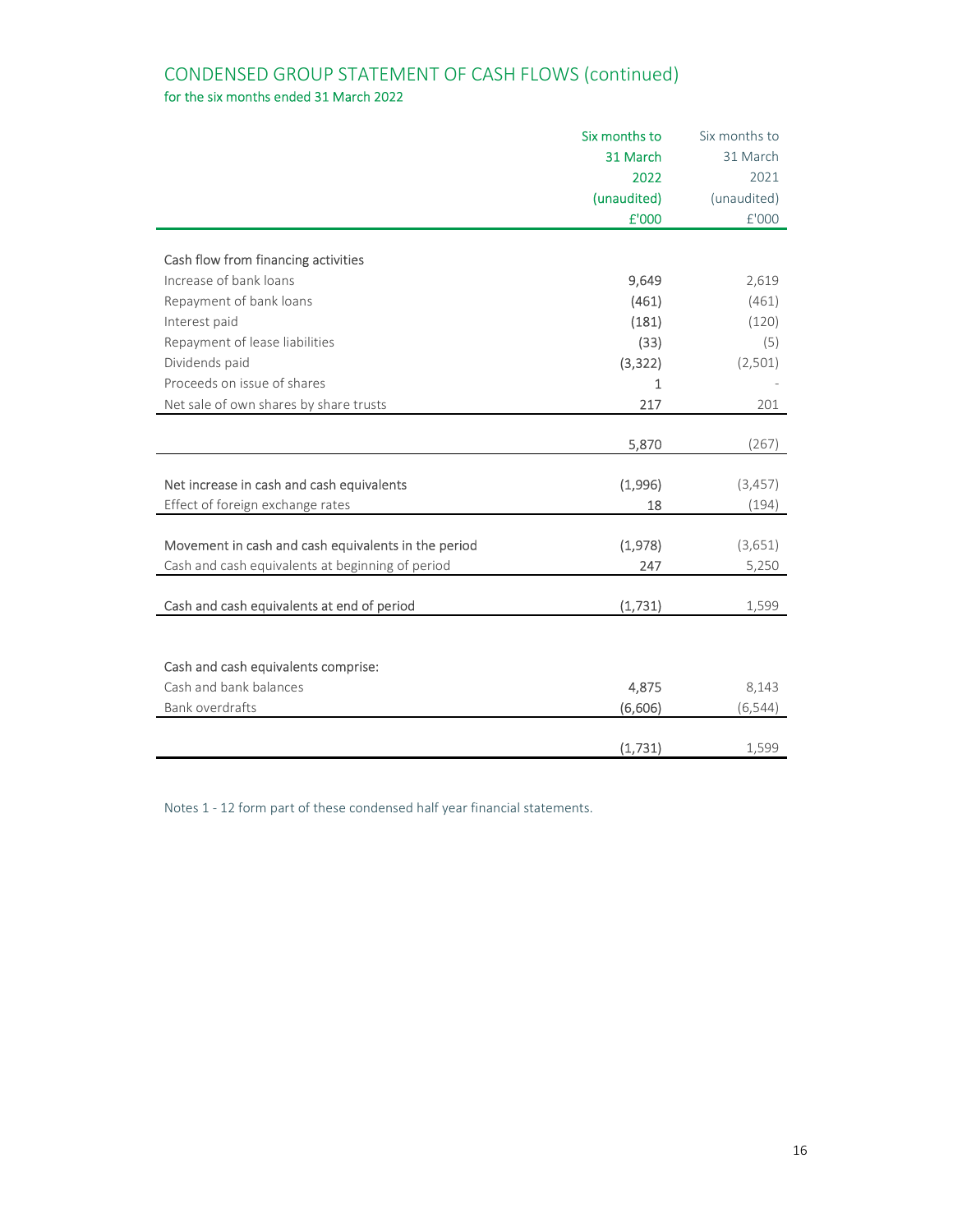# CONDENSED GROUP STATEMENT OF CASH FLOWS (continued) for the six months ended 31 March 2022

|                                                     | Six months to | Six months to |
|-----------------------------------------------------|---------------|---------------|
|                                                     | 31 March      | 31 March      |
|                                                     | 2022          | 2021          |
|                                                     | (unaudited)   | (unaudited)   |
|                                                     | £'000         | £'000         |
|                                                     |               |               |
| Cash flow from financing activities                 |               |               |
| Increase of bank loans                              | 9,649         | 2,619         |
| Repayment of bank loans                             | (461)         | (461)         |
| Interest paid                                       | (181)         | (120)         |
| Repayment of lease liabilities                      | (33)          | (5)           |
| Dividends paid                                      | (3, 322)      | (2,501)       |
| Proceeds on issue of shares                         | $\mathbf{1}$  |               |
| Net sale of own shares by share trusts              | 217           | 201           |
|                                                     |               |               |
|                                                     | 5,870         | (267)         |
|                                                     |               |               |
| Net increase in cash and cash equivalents           | (1,996)       | (3,457)       |
| Effect of foreign exchange rates                    | 18            | (194)         |
|                                                     |               |               |
| Movement in cash and cash equivalents in the period | (1,978)       | (3,651)       |
| Cash and cash equivalents at beginning of period    | 247           | 5,250         |
| Cash and cash equivalents at end of period          | (1,731)       | 1,599         |
|                                                     |               |               |
|                                                     |               |               |
| Cash and cash equivalents comprise:                 |               |               |
| Cash and bank balances                              | 4,875         | 8,143         |
| Bank overdrafts                                     | (6,606)       | (6, 544)      |
|                                                     |               |               |
|                                                     | (1,731)       | 1,599         |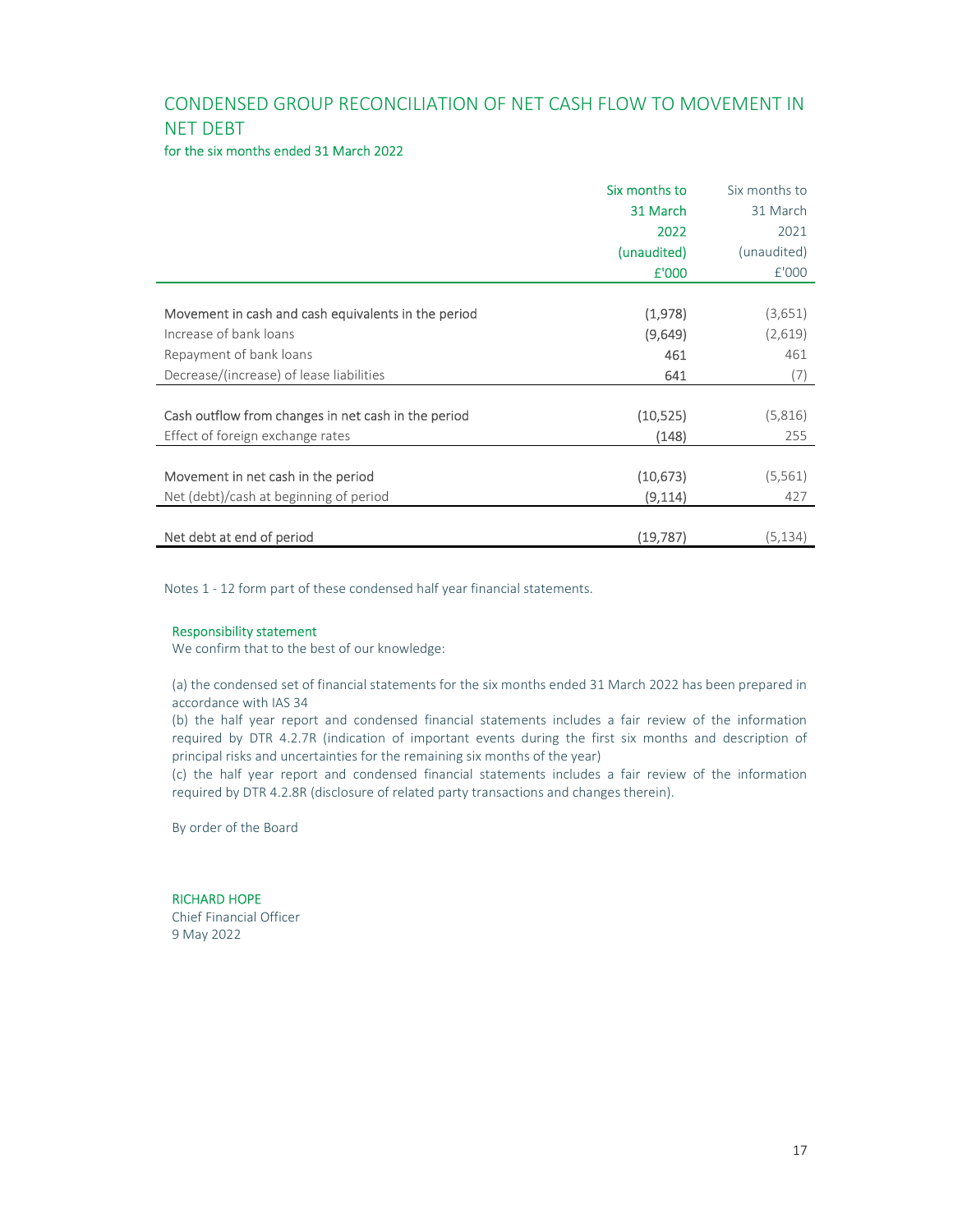# CONDENSED GROUP RECONCILIATION OF NET CASH FLOW TO MOVEMENT IN NET DEBT

### for the six months ended 31 March 2022

|                                                     | Six months to | Six months to |
|-----------------------------------------------------|---------------|---------------|
|                                                     | 31 March      | 31 March      |
|                                                     | 2022          | 2021          |
|                                                     | (unaudited)   | (unaudited)   |
|                                                     | £'000         | E'000         |
|                                                     |               |               |
| Movement in cash and cash equivalents in the period | (1,978)       | (3,651)       |
| Increase of bank loans                              | (9,649)       | (2,619)       |
| Repayment of bank loans                             | 461           | 461           |
| Decrease/(increase) of lease liabilities            | 641           | (7)           |
|                                                     |               |               |
| Cash outflow from changes in net cash in the period | (10, 525)     | (5,816)       |
| Effect of foreign exchange rates                    | (148)         | 255           |
|                                                     |               |               |
| Movement in net cash in the period                  | (10, 673)     | (5, 561)      |
| Net (debt)/cash at beginning of period              | (9, 114)      | 427           |
|                                                     |               |               |
| Net debt at end of period                           | (19,787)      | (5,134)       |

Notes 1 - 12 form part of these condensed half year financial statements.

### Responsibility statement

We confirm that to the best of our knowledge:

(a) the condensed set of financial statements for the six months ended 31 March 2022 has been prepared in accordance with IAS 34

(b) the half year report and condensed financial statements includes a fair review of the information required by DTR 4.2.7R (indication of important events during the first six months and description of principal risks and uncertainties for the remaining six months of the year)

(c) the half year report and condensed financial statements includes a fair review of the information required by DTR 4.2.8R (disclosure of related party transactions and changes therein).

By order of the Board

### RICHARD HOPE

Chief Financial Officer 9 May 2022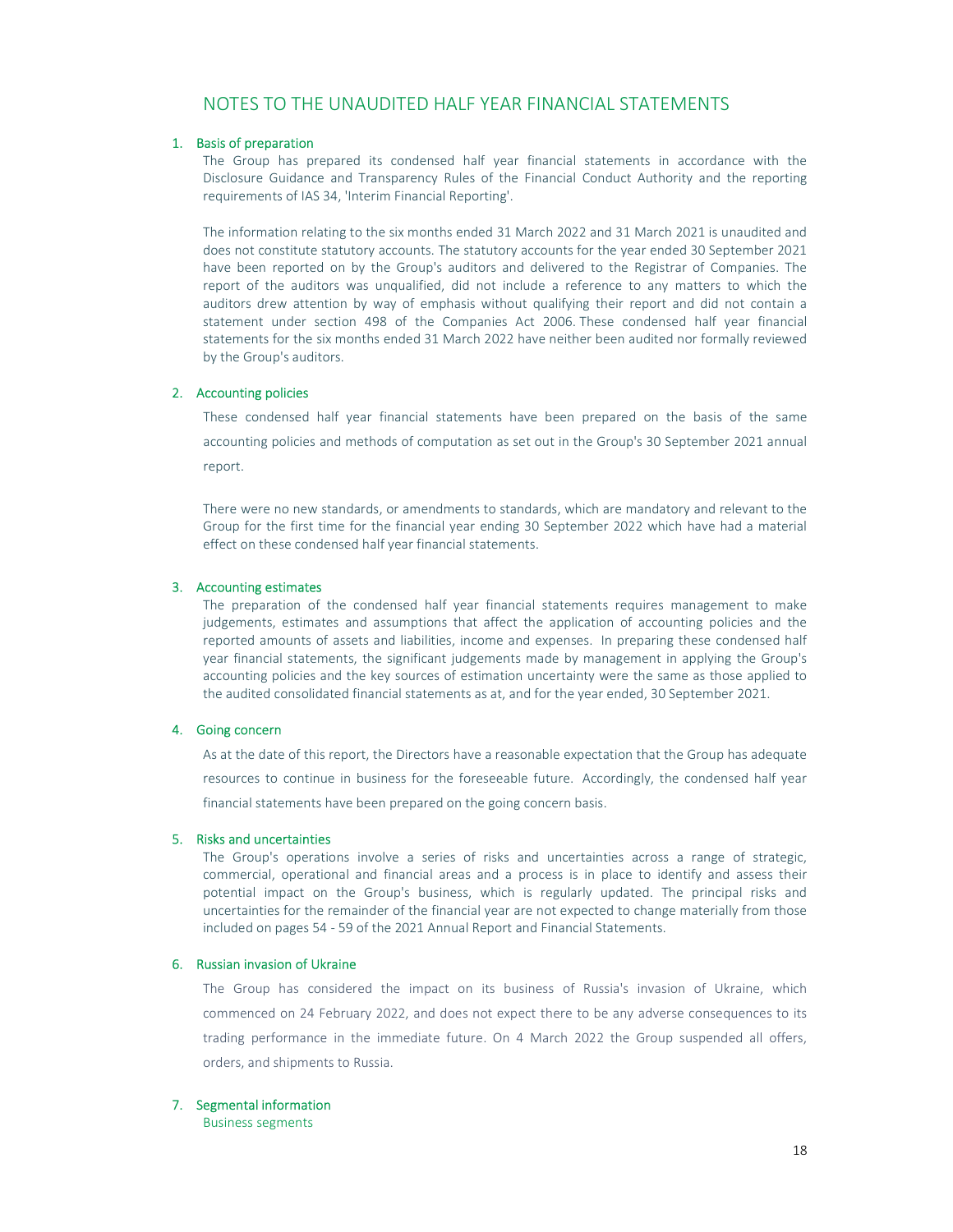# NOTES TO THE UNAUDITED HALF YEAR FINANCIAL STATEMENTS

#### 1. Basis of preparation

The Group has prepared its condensed half year financial statements in accordance with the Disclosure Guidance and Transparency Rules of the Financial Conduct Authority and the reporting requirements of IAS 34, 'Interim Financial Reporting'.

The information relating to the six months ended 31 March 2022 and 31 March 2021 is unaudited and does not constitute statutory accounts. The statutory accounts for the year ended 30 September 2021 have been reported on by the Group's auditors and delivered to the Registrar of Companies. The report of the auditors was unqualified, did not include a reference to any matters to which the auditors drew attention by way of emphasis without qualifying their report and did not contain a statement under section 498 of the Companies Act 2006. These condensed half year financial statements for the six months ended 31 March 2022 have neither been audited nor formally reviewed by the Group's auditors.

### 2. Accounting policies

These condensed half year financial statements have been prepared on the basis of the same accounting policies and methods of computation as set out in the Group's 30 September 2021 annual report.

There were no new standards, or amendments to standards, which are mandatory and relevant to the Group for the first time for the financial year ending 30 September 2022 which have had a material effect on these condensed half year financial statements.

#### 3. Accounting estimates

The preparation of the condensed half year financial statements requires management to make judgements, estimates and assumptions that affect the application of accounting policies and the reported amounts of assets and liabilities, income and expenses. In preparing these condensed half year financial statements, the significant judgements made by management in applying the Group's accounting policies and the key sources of estimation uncertainty were the same as those applied to the audited consolidated financial statements as at, and for the year ended, 30 September 2021.

### 4. Going concern

As at the date of this report, the Directors have a reasonable expectation that the Group has adequate resources to continue in business for the foreseeable future. Accordingly, the condensed half year financial statements have been prepared on the going concern basis.

### 5. Risks and uncertainties

The Group's operations involve a series of risks and uncertainties across a range of strategic, commercial, operational and financial areas and a process is in place to identify and assess their potential impact on the Group's business, which is regularly updated. The principal risks and uncertainties for the remainder of the financial year are not expected to change materially from those included on pages 54 - 59 of the 2021 Annual Report and Financial Statements.

#### 6. Russian invasion of Ukraine

The Group has considered the impact on its business of Russia's invasion of Ukraine, which commenced on 24 February 2022, and does not expect there to be any adverse consequences to its trading performance in the immediate future. On 4 March 2022 the Group suspended all offers, orders, and shipments to Russia.

#### 7. Segmental information

Business segments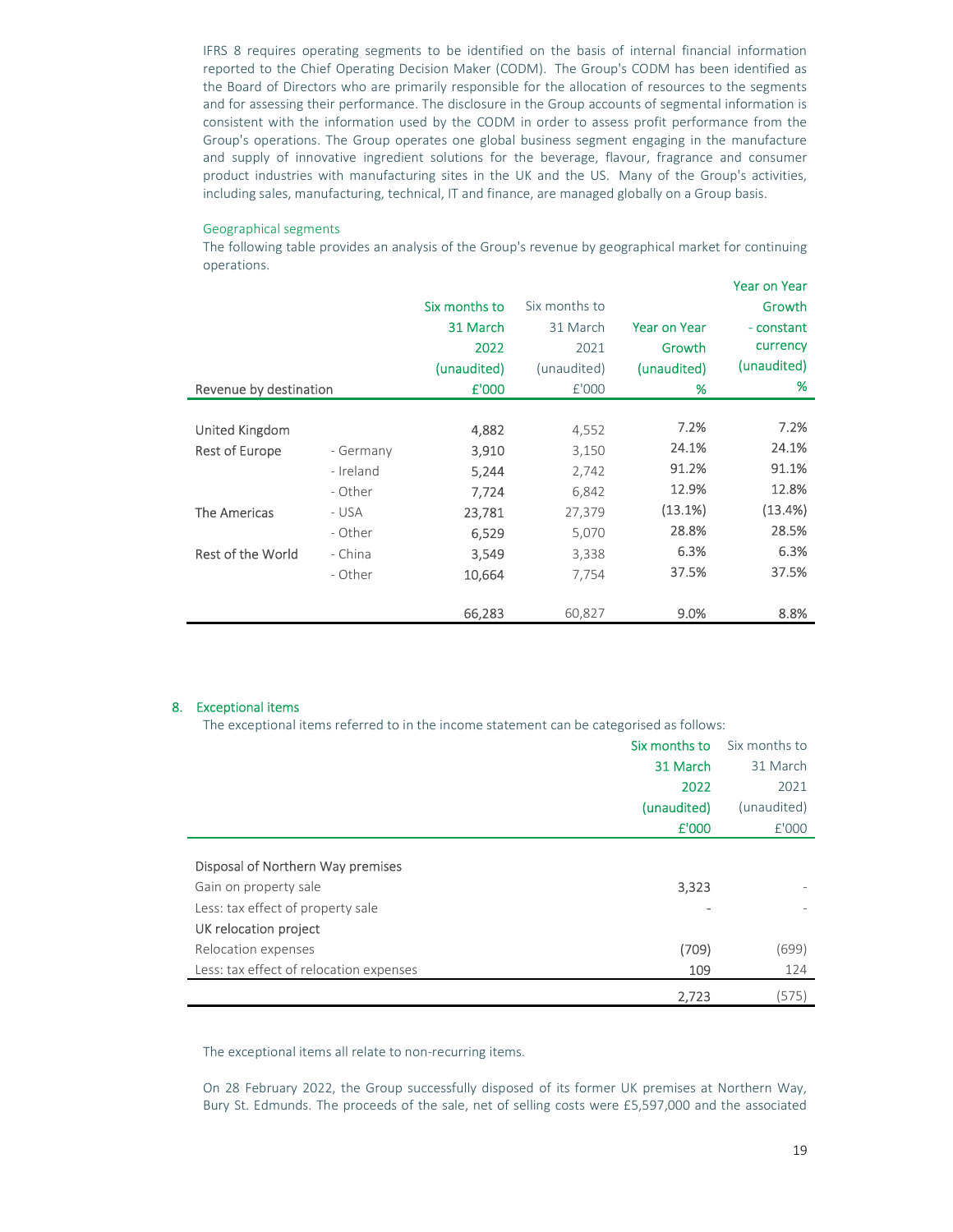IFRS 8 requires operating segments to be identified on the basis of internal financial information reported to the Chief Operating Decision Maker (CODM). The Group's CODM has been identified as the Board of Directors who are primarily responsible for the allocation of resources to the segments and for assessing their performance. The disclosure in the Group accounts of segmental information is consistent with the information used by the CODM in order to assess profit performance from the Group's operations. The Group operates one global business segment engaging in the manufacture and supply of innovative ingredient solutions for the beverage, flavour, fragrance and consumer product industries with manufacturing sites in the UK and the US. Many of the Group's activities, including sales, manufacturing, technical, IT and finance, are managed globally on a Group basis.

#### Geographical segments

The following table provides an analysis of the Group's revenue by geographical market for continuing operations.

|                          |           |               |               |                     | <b>Year on Year</b> |
|--------------------------|-----------|---------------|---------------|---------------------|---------------------|
|                          |           | Six months to | Six months to |                     | Growth              |
|                          |           | 31 March      | 31 March      | <b>Year on Year</b> | - constant          |
|                          |           | 2022          | 2021          | Growth              | currency            |
|                          |           | (unaudited)   | (unaudited)   | (unaudited)         | (unaudited)         |
| Revenue by destination   |           | £'000         | £'000         | %                   | %                   |
|                          |           |               |               |                     |                     |
| United Kingdom           |           | 4,882         | 4,552         | 7.2%                | 7.2%                |
| Rest of Europe           | - Germany | 3,910         | 3,150         | 24.1%               | 24.1%               |
|                          | - Ireland | 5,244         | 2,742         | 91.2%               | 91.1%               |
|                          | - Other   | 7,724         | 6,842         | 12.9%               | 12.8%               |
| <b>The Americas</b>      | - USA     | 23,781        | 27,379        | (13.1%)             | (13.4%)             |
|                          | - Other   | 6,529         | 5,070         | 28.8%               | 28.5%               |
| <b>Rest of the World</b> | - China   | 3,549         | 3,338         | 6.3%                | 6.3%                |
|                          | - Other   | 10,664        | 7,754         | 37.5%               | 37.5%               |
|                          |           |               |               |                     |                     |
|                          |           | 66,283        | 60,827        | 9.0%                | 8.8%                |

### 8. Exceptional items

The exceptional items referred to in the income statement can be categorised as follows:

|                                                                                                                          | Six months to | Six months to |
|--------------------------------------------------------------------------------------------------------------------------|---------------|---------------|
|                                                                                                                          | 31 March      | 31 March      |
|                                                                                                                          | 2022          | 2021          |
|                                                                                                                          | (unaudited)   | (unaudited)   |
|                                                                                                                          | £'000         | £'000         |
| Disposal of Northern Way premises<br>Gain on property sale<br>Less: tax effect of property sale<br>UK relocation project | 3,323         |               |
| Relocation expenses                                                                                                      | (709)         | (699)         |
| Less: tax effect of relocation expenses                                                                                  | 109           | 124           |
|                                                                                                                          | 2,723         | (575)         |

The exceptional items all relate to non-recurring items.

On 28 February 2022, the Group successfully disposed of its former UK premises at Northern Way, Bury St. Edmunds. The proceeds of the sale, net of selling costs were £5,597,000 and the associated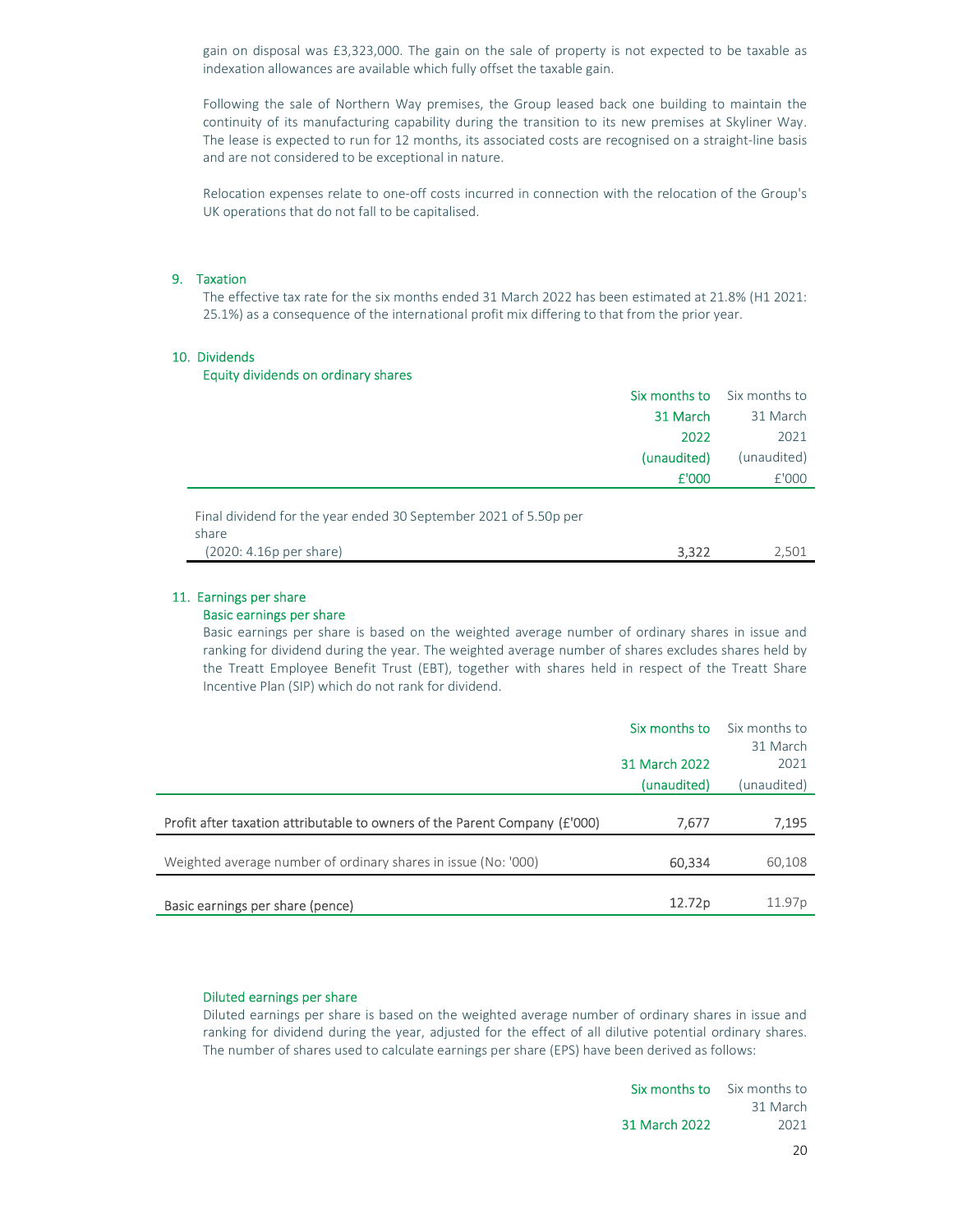gain on disposal was £3,323,000. The gain on the sale of property is not expected to be taxable as indexation allowances are available which fully offset the taxable gain.

Following the sale of Northern Way premises, the Group leased back one building to maintain the continuity of its manufacturing capability during the transition to its new premises at Skyliner Way. The lease is expected to run for 12 months, its associated costs are recognised on a straight-line basis and are not considered to be exceptional in nature.

Relocation expenses relate to one-off costs incurred in connection with the relocation of the Group's UK operations that do not fall to be capitalised.

#### 9. Taxation

The effective tax rate for the six months ended 31 March 2022 has been estimated at 21.8% (H1 2021: 25.1%) as a consequence of the international profit mix differing to that from the prior year.

### 10. Dividends

### Equity dividends on ordinary shares

|                                                                                                      |             | <b>Six months to</b> Six months to |
|------------------------------------------------------------------------------------------------------|-------------|------------------------------------|
|                                                                                                      | 31 March    | 31 March                           |
|                                                                                                      | 2022        | 2021                               |
|                                                                                                      | (unaudited) | (unaudited)                        |
|                                                                                                      | £'000       | £'000                              |
| Final dividend for the year ended 30 September 2021 of 5.50p per<br>share<br>(2020: 4.16p per share) | 3,322       | 2.501                              |

### 11. Earnings per share

#### Basic earnings per share

Basic earnings per share is based on the weighted average number of ordinary shares in issue and ranking for dividend during the year. The weighted average number of shares excludes shares held by the Treatt Employee Benefit Trust (EBT), together with shares held in respect of the Treatt Share Incentive Plan (SIP) which do not rank for dividend.

|                                                                            | Six months to | Six months to      |
|----------------------------------------------------------------------------|---------------|--------------------|
|                                                                            |               | 31 March           |
|                                                                            | 31 March 2022 | 2021               |
|                                                                            | (unaudited)   | (unaudited)        |
|                                                                            |               |                    |
| Profit after taxation attributable to owners of the Parent Company (£'000) | 7.677         | 7,195              |
|                                                                            |               |                    |
| Weighted average number of ordinary shares in issue (No: '000)             | 60,334        | 60,108             |
|                                                                            |               |                    |
| Basic earnings per share (pence)                                           | 12.72p        | 11.97 <sub>p</sub> |

#### Diluted earnings per share

Diluted earnings per share is based on the weighted average number of ordinary shares in issue and ranking for dividend during the year, adjusted for the effect of all dilutive potential ordinary shares. The number of shares used to calculate earnings per share (EPS) have been derived as follows:

|               | <b>Six months to</b> Six months to |
|---------------|------------------------------------|
|               | 31 March                           |
| 31 March 2022 | 2021                               |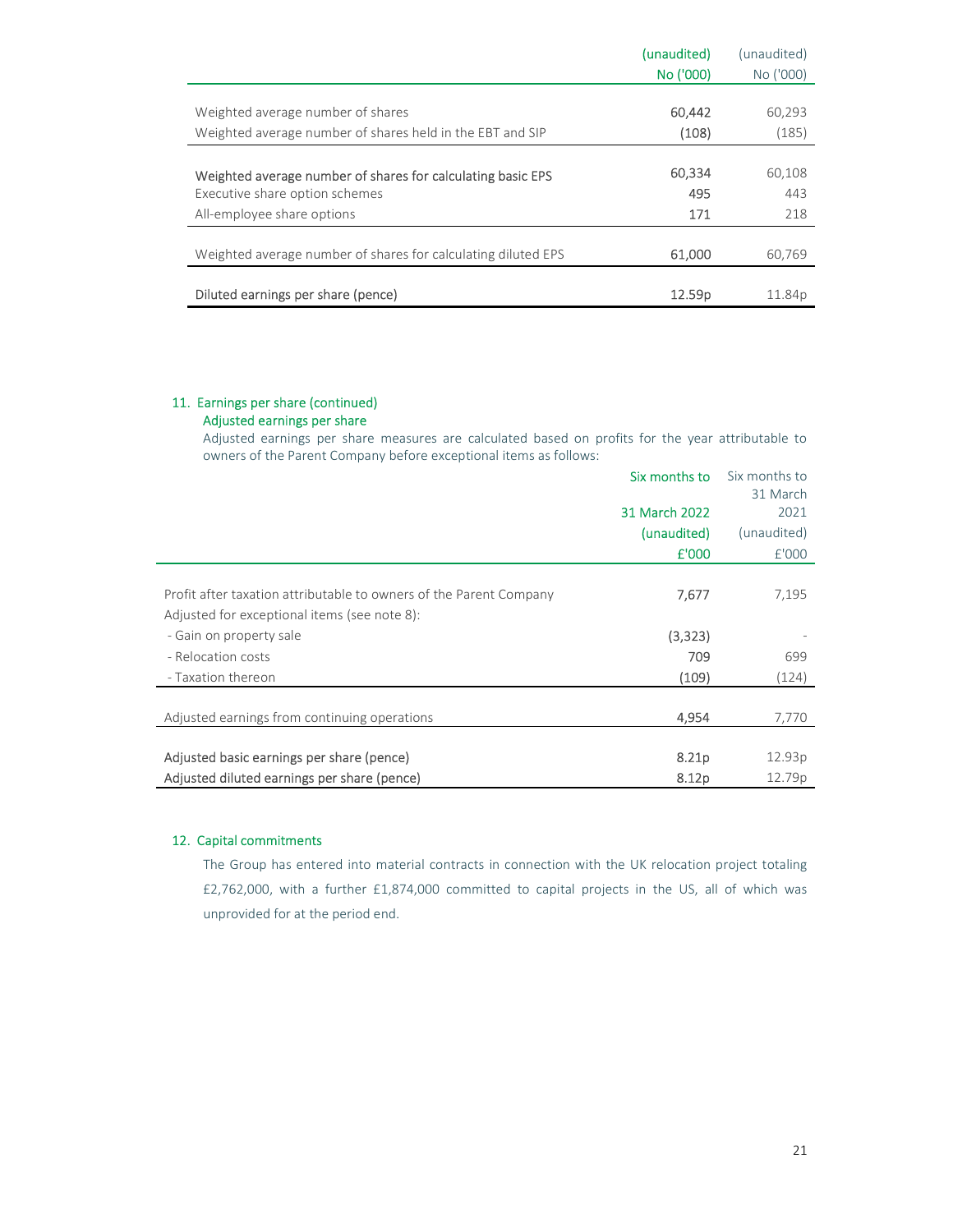|                                                               | (unaudited) | (unaudited)        |
|---------------------------------------------------------------|-------------|--------------------|
|                                                               | No ('000)   | No ('000)          |
|                                                               |             |                    |
| Weighted average number of shares                             | 60,442      | 60,293             |
| Weighted average number of shares held in the EBT and SIP     | (108)       | (185)              |
|                                                               |             |                    |
| Weighted average number of shares for calculating basic EPS   | 60,334      | 60,108             |
| Executive share option schemes                                | 495         | 443                |
| All-employee share options                                    | 171         | 218                |
|                                                               |             |                    |
| Weighted average number of shares for calculating diluted EPS | 61,000      | 60,769             |
|                                                               |             |                    |
| Diluted earnings per share (pence)                            | 12.59p      | 11.84 <sub>p</sub> |

### 11. Earnings per share (continued) Adjusted earnings per share

Adjusted earnings per share measures are calculated based on profits for the year attributable to owners of the Parent Company before exceptional items as follows:

|                                                                    | Six months to | Six months to |
|--------------------------------------------------------------------|---------------|---------------|
|                                                                    |               | 31 March      |
|                                                                    | 31 March 2022 | 2021          |
|                                                                    | (unaudited)   | (unaudited)   |
|                                                                    | £'000         | £'000         |
|                                                                    |               |               |
| Profit after taxation attributable to owners of the Parent Company | 7,677         | 7,195         |
| Adjusted for exceptional items (see note 8):                       |               |               |
| - Gain on property sale                                            | (3,323)       |               |
| - Relocation costs                                                 | 709           | 699           |
| - Taxation thereon                                                 | (109)         | (124)         |
|                                                                    |               |               |
| Adjusted earnings from continuing operations                       | 4,954         | 7,770         |
|                                                                    |               |               |
| Adjusted basic earnings per share (pence)                          | 8.21p         | 12.93p        |
| Adjusted diluted earnings per share (pence)                        | 8.12p         | 12.79p        |

### 12. Capital commitments

The Group has entered into material contracts in connection with the UK relocation project totaling £2,762,000, with a further £1,874,000 committed to capital projects in the US, all of which was unprovided for at the period end.